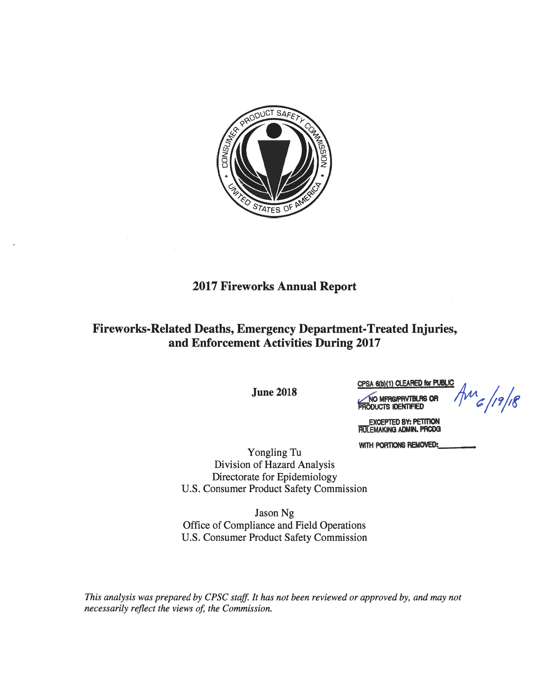

# **2017 Fireworks Annual Report**

# Fireworks-Related Deaths, Emergency Department-Treated Injuries, and Enforcement Activities During 2017

**June 2018** 

CPSA 6(b)(1) CLEARED for PUBLIC NO MFRS/PRVTBLRS OR

 $\text{Im} (19/18)$ 

EXCEPTED BY: PETITION<br>FIULEMAKING ADMIN. PRODG

**FODUCTS IDENTIFIED** 

WITH PORTIONS REMOVED:

Yongling Tu Division of Hazard Analysis Directorate for Epidemiology U.S. Consumer Product Safety Commission

Jason Ng Office of Compliance and Field Operations U.S. Consumer Product Safety Commission

This analysis was prepared by CPSC staff. It has not been reviewed or approved by, and may not necessarily reflect the views of, the Commission.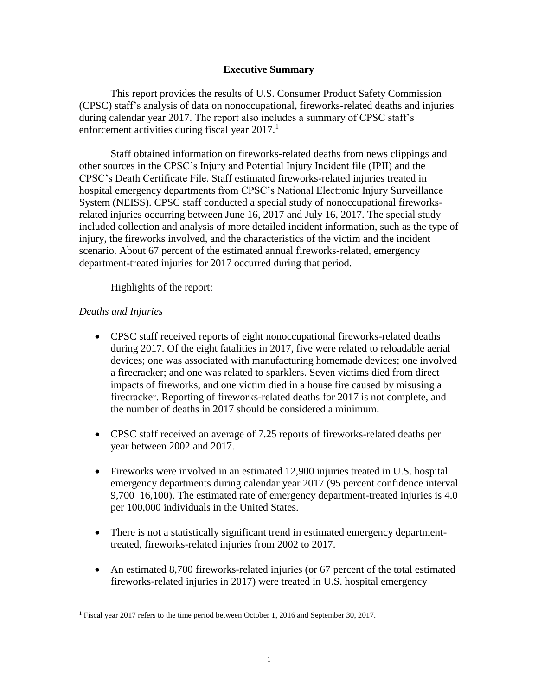### **Executive Summary**

This report provides the results of U.S. Consumer Product Safety Commission (CPSC) staff's analysis of data on nonoccupational, fireworks-related deaths and injuries during calendar year 2017. The report also includes a summary of CPSC staff's enforcement activities during fiscal year  $2017$ <sup>1</sup>

Staff obtained information on fireworks-related deaths from news clippings and other sources in the CPSC's Injury and Potential Injury Incident file (IPII) and the CPSC's Death Certificate File. Staff estimated fireworks-related injuries treated in hospital emergency departments from CPSC's National Electronic Injury Surveillance System (NEISS). CPSC staff conducted a special study of nonoccupational fireworksrelated injuries occurring between June 16, 2017 and July 16, 2017. The special study included collection and analysis of more detailed incident information, such as the type of injury, the fireworks involved, and the characteristics of the victim and the incident scenario. About 67 percent of the estimated annual fireworks-related, emergency department-treated injuries for 2017 occurred during that period.

Highlights of the report:

## *Deaths and Injuries*

 $\overline{a}$ 

- CPSC staff received reports of eight nonoccupational fireworks-related deaths during 2017. Of the eight fatalities in 2017, five were related to reloadable aerial devices; one was associated with manufacturing homemade devices; one involved a firecracker; and one was related to sparklers. Seven victims died from direct impacts of fireworks, and one victim died in a house fire caused by misusing a firecracker. Reporting of fireworks-related deaths for 2017 is not complete, and the number of deaths in 2017 should be considered a minimum.
- CPSC staff received an average of 7.25 reports of fireworks-related deaths per year between 2002 and 2017.
- Fireworks were involved in an estimated 12,900 injuries treated in U.S. hospital emergency departments during calendar year 2017 (95 percent confidence interval 9,700–16,100). The estimated rate of emergency department-treated injuries is 4.0 per 100,000 individuals in the United States.
- There is not a statistically significant trend in estimated emergency departmenttreated, fireworks-related injuries from 2002 to 2017.
- An estimated 8,700 fireworks-related injuries (or 67 percent of the total estimated fireworks-related injuries in 2017) were treated in U.S. hospital emergency

<sup>&</sup>lt;sup>1</sup> Fiscal year 2017 refers to the time period between October 1, 2016 and September 30, 2017.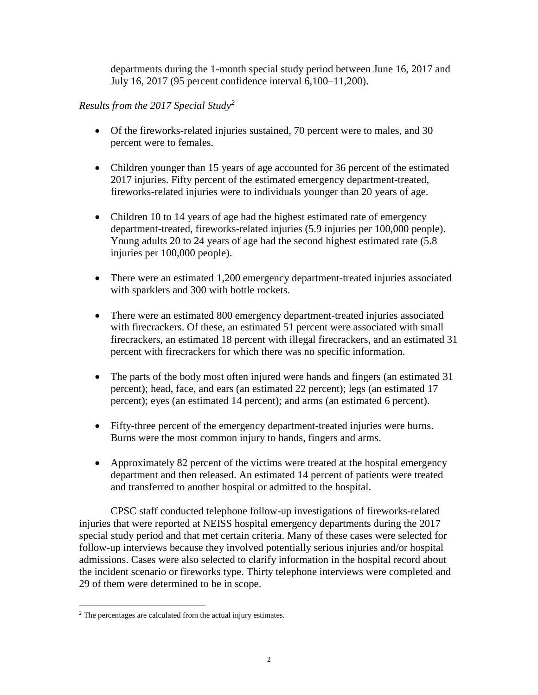departments during the 1-month special study period between June 16, 2017 and July 16, 2017 (95 percent confidence interval 6,100–11,200).

## *Results from the 2017 Special Study<sup>2</sup>*

- Of the fireworks-related injuries sustained, 70 percent were to males, and 30 percent were to females.
- Children younger than 15 years of age accounted for 36 percent of the estimated 2017 injuries. Fifty percent of the estimated emergency department-treated, fireworks-related injuries were to individuals younger than 20 years of age.
- Children 10 to 14 years of age had the highest estimated rate of emergency department-treated, fireworks-related injuries (5.9 injuries per 100,000 people). Young adults 20 to 24 years of age had the second highest estimated rate (5.8 injuries per 100,000 people).
- There were an estimated 1,200 emergency department-treated injuries associated with sparklers and 300 with bottle rockets.
- There were an estimated 800 emergency department-treated injuries associated with firecrackers. Of these, an estimated 51 percent were associated with small firecrackers, an estimated 18 percent with illegal firecrackers, and an estimated 31 percent with firecrackers for which there was no specific information.
- The parts of the body most often injured were hands and fingers (an estimated 31 percent); head, face, and ears (an estimated 22 percent); legs (an estimated 17 percent); eyes (an estimated 14 percent); and arms (an estimated 6 percent).
- Fifty-three percent of the emergency department-treated injuries were burns. Burns were the most common injury to hands, fingers and arms.
- Approximately 82 percent of the victims were treated at the hospital emergency department and then released. An estimated 14 percent of patients were treated and transferred to another hospital or admitted to the hospital.

CPSC staff conducted telephone follow-up investigations of fireworks-related injuries that were reported at NEISS hospital emergency departments during the 2017 special study period and that met certain criteria. Many of these cases were selected for follow-up interviews because they involved potentially serious injuries and/or hospital admissions. Cases were also selected to clarify information in the hospital record about the incident scenario or fireworks type. Thirty telephone interviews were completed and 29 of them were determined to be in scope.

 $\overline{a}$ 

<sup>2</sup> The percentages are calculated from the actual injury estimates.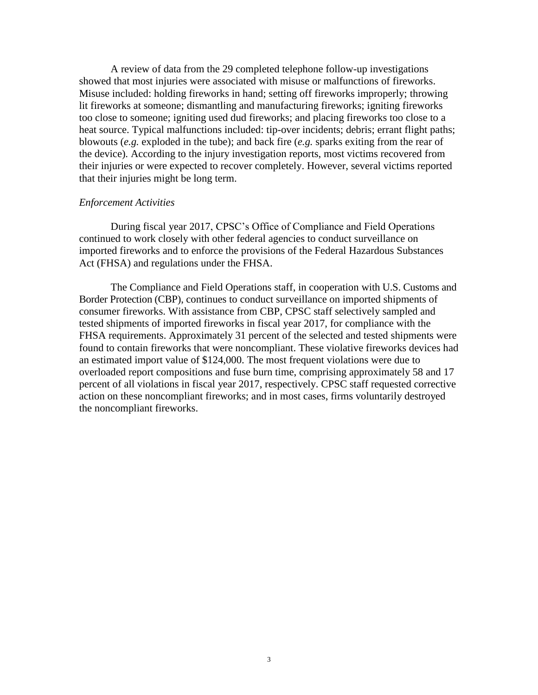A review of data from the 29 completed telephone follow-up investigations showed that most injuries were associated with misuse or malfunctions of fireworks. Misuse included: holding fireworks in hand; setting off fireworks improperly; throwing lit fireworks at someone; dismantling and manufacturing fireworks; igniting fireworks too close to someone; igniting used dud fireworks; and placing fireworks too close to a heat source. Typical malfunctions included: tip-over incidents; debris; errant flight paths; blowouts (*e.g.* exploded in the tube); and back fire (*e.g.* sparks exiting from the rear of the device). According to the injury investigation reports, most victims recovered from their injuries or were expected to recover completely. However, several victims reported that their injuries might be long term.

#### *Enforcement Activities*

During fiscal year 2017, CPSC's Office of Compliance and Field Operations continued to work closely with other federal agencies to conduct surveillance on imported fireworks and to enforce the provisions of the Federal Hazardous Substances Act (FHSA) and regulations under the FHSA.

The Compliance and Field Operations staff, in cooperation with U.S. Customs and Border Protection (CBP), continues to conduct surveillance on imported shipments of consumer fireworks. With assistance from CBP, CPSC staff selectively sampled and tested shipments of imported fireworks in fiscal year 2017, for compliance with the FHSA requirements. Approximately 31 percent of the selected and tested shipments were found to contain fireworks that were noncompliant. These violative fireworks devices had an estimated import value of \$124,000. The most frequent violations were due to overloaded report compositions and fuse burn time, comprising approximately 58 and 17 percent of all violations in fiscal year 2017, respectively. CPSC staff requested corrective action on these noncompliant fireworks; and in most cases, firms voluntarily destroyed the noncompliant fireworks.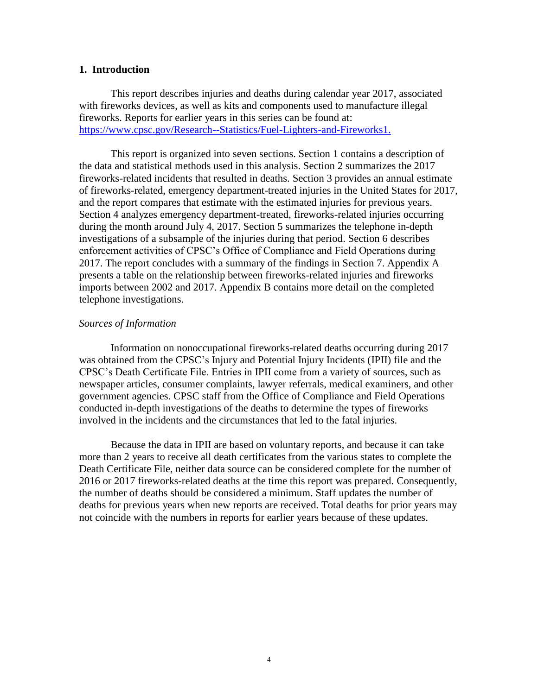#### **1. Introduction**

This report describes injuries and deaths during calendar year 2017, associated with fireworks devices, as well as kits and components used to manufacture illegal fireworks. Reports for earlier years in this series can be found at: [https://www.cpsc.gov/Research--Statistics/Fuel-Lighters-and-Fireworks1.](https://www.cpsc.gov/Research--Statistics/Fuel-Lighters-and-Fireworks1)

This report is organized into seven sections. Section 1 contains a description of the data and statistical methods used in this analysis. Section 2 summarizes the 2017 fireworks-related incidents that resulted in deaths. Section 3 provides an annual estimate of fireworks-related, emergency department-treated injuries in the United States for 2017, and the report compares that estimate with the estimated injuries for previous years. Section 4 analyzes emergency department-treated, fireworks-related injuries occurring during the month around July 4, 2017. Section 5 summarizes the telephone in-depth investigations of a subsample of the injuries during that period. Section 6 describes enforcement activities of CPSC's Office of Compliance and Field Operations during 2017. The report concludes with a summary of the findings in Section 7. Appendix A presents a table on the relationship between fireworks-related injuries and fireworks imports between 2002 and 2017. Appendix B contains more detail on the completed telephone investigations.

#### *Sources of Information*

Information on nonoccupational fireworks-related deaths occurring during 2017 was obtained from the CPSC's Injury and Potential Injury Incidents (IPII) file and the CPSC's Death Certificate File. Entries in IPII come from a variety of sources, such as newspaper articles, consumer complaints, lawyer referrals, medical examiners, and other government agencies. CPSC staff from the Office of Compliance and Field Operations conducted in-depth investigations of the deaths to determine the types of fireworks involved in the incidents and the circumstances that led to the fatal injuries.

Because the data in IPII are based on voluntary reports, and because it can take more than 2 years to receive all death certificates from the various states to complete the Death Certificate File, neither data source can be considered complete for the number of 2016 or 2017 fireworks-related deaths at the time this report was prepared. Consequently, the number of deaths should be considered a minimum. Staff updates the number of deaths for previous years when new reports are received. Total deaths for prior years may not coincide with the numbers in reports for earlier years because of these updates.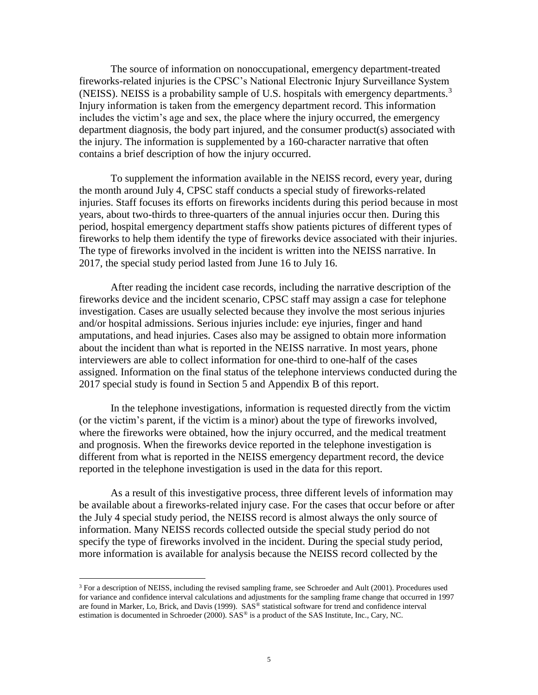The source of information on nonoccupational, emergency department-treated fireworks-related injuries is the CPSC's National Electronic Injury Surveillance System (NEISS). NEISS is a probability sample of U.S. hospitals with emergency departments.<sup>3</sup> Injury information is taken from the emergency department record. This information includes the victim's age and sex, the place where the injury occurred, the emergency department diagnosis, the body part injured, and the consumer product(s) associated with the injury. The information is supplemented by a 160-character narrative that often contains a brief description of how the injury occurred.

To supplement the information available in the NEISS record, every year, during the month around July 4, CPSC staff conducts a special study of fireworks-related injuries. Staff focuses its efforts on fireworks incidents during this period because in most years, about two-thirds to three-quarters of the annual injuries occur then. During this period, hospital emergency department staffs show patients pictures of different types of fireworks to help them identify the type of fireworks device associated with their injuries. The type of fireworks involved in the incident is written into the NEISS narrative. In 2017, the special study period lasted from June 16 to July 16.

After reading the incident case records, including the narrative description of the fireworks device and the incident scenario, CPSC staff may assign a case for telephone investigation. Cases are usually selected because they involve the most serious injuries and/or hospital admissions. Serious injuries include: eye injuries, finger and hand amputations, and head injuries. Cases also may be assigned to obtain more information about the incident than what is reported in the NEISS narrative. In most years, phone interviewers are able to collect information for one-third to one-half of the cases assigned. Information on the final status of the telephone interviews conducted during the 2017 special study is found in Section 5 and Appendix B of this report.

In the telephone investigations, information is requested directly from the victim (or the victim's parent, if the victim is a minor) about the type of fireworks involved, where the fireworks were obtained, how the injury occurred, and the medical treatment and prognosis. When the fireworks device reported in the telephone investigation is different from what is reported in the NEISS emergency department record, the device reported in the telephone investigation is used in the data for this report.

As a result of this investigative process, three different levels of information may be available about a fireworks-related injury case. For the cases that occur before or after the July 4 special study period, the NEISS record is almost always the only source of information. Many NEISS records collected outside the special study period do not specify the type of fireworks involved in the incident. During the special study period, more information is available for analysis because the NEISS record collected by the

 $\overline{a}$ 

 $3$  For a description of NEISS, including the revised sampling frame, see Schroeder and Ault (2001). Procedures used for variance and confidence interval calculations and adjustments for the sampling frame change that occurred in 1997 are found in Marker, Lo, Brick, and Davis (1999). SAS® statistical software for trend and confidence interval estimation is documented in Schroeder (2000). SAS<sup>®</sup> is a product of the SAS Institute, Inc., Cary, NC.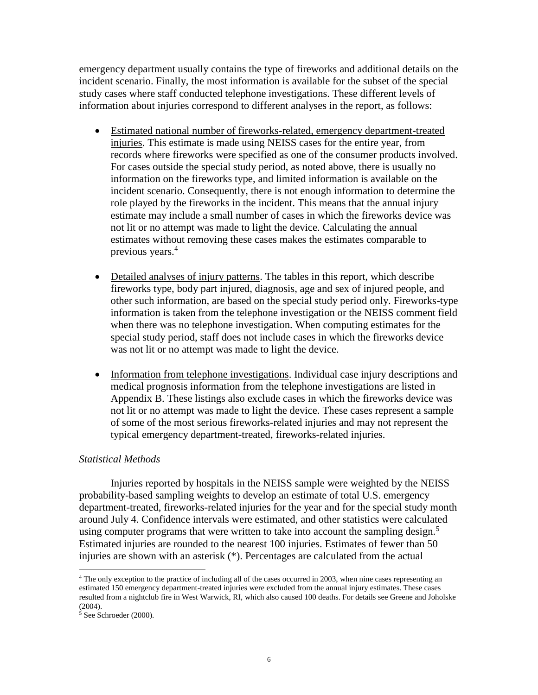emergency department usually contains the type of fireworks and additional details on the incident scenario. Finally, the most information is available for the subset of the special study cases where staff conducted telephone investigations. These different levels of information about injuries correspond to different analyses in the report, as follows:

- Estimated national number of fireworks-related, emergency department-treated injuries. This estimate is made using NEISS cases for the entire year, from records where fireworks were specified as one of the consumer products involved. For cases outside the special study period, as noted above, there is usually no information on the fireworks type, and limited information is available on the incident scenario. Consequently, there is not enough information to determine the role played by the fireworks in the incident. This means that the annual injury estimate may include a small number of cases in which the fireworks device was not lit or no attempt was made to light the device. Calculating the annual estimates without removing these cases makes the estimates comparable to previous years.<sup>4</sup>
- Detailed analyses of injury patterns. The tables in this report, which describe fireworks type, body part injured, diagnosis, age and sex of injured people, and other such information, are based on the special study period only. Fireworks-type information is taken from the telephone investigation or the NEISS comment field when there was no telephone investigation. When computing estimates for the special study period, staff does not include cases in which the fireworks device was not lit or no attempt was made to light the device.
- Information from telephone investigations. Individual case injury descriptions and medical prognosis information from the telephone investigations are listed in Appendix B. These listings also exclude cases in which the fireworks device was not lit or no attempt was made to light the device. These cases represent a sample of some of the most serious fireworks-related injuries and may not represent the typical emergency department-treated, fireworks-related injuries.

## *Statistical Methods*

Injuries reported by hospitals in the NEISS sample were weighted by the NEISS probability-based sampling weights to develop an estimate of total U.S. emergency department-treated, fireworks-related injuries for the year and for the special study month around July 4. Confidence intervals were estimated, and other statistics were calculated using computer programs that were written to take into account the sampling design.<sup>5</sup> Estimated injuries are rounded to the nearest 100 injuries. Estimates of fewer than 50 injuries are shown with an asterisk (\*). Percentages are calculated from the actual

 $\overline{a}$ 

<sup>&</sup>lt;sup>4</sup> The only exception to the practice of including all of the cases occurred in 2003, when nine cases representing an estimated 150 emergency department-treated injuries were excluded from the annual injury estimates. These cases resulted from a nightclub fire in West Warwick, RI, which also caused 100 deaths. For details see Greene and Joholske (2004).

<sup>5</sup> See Schroeder (2000).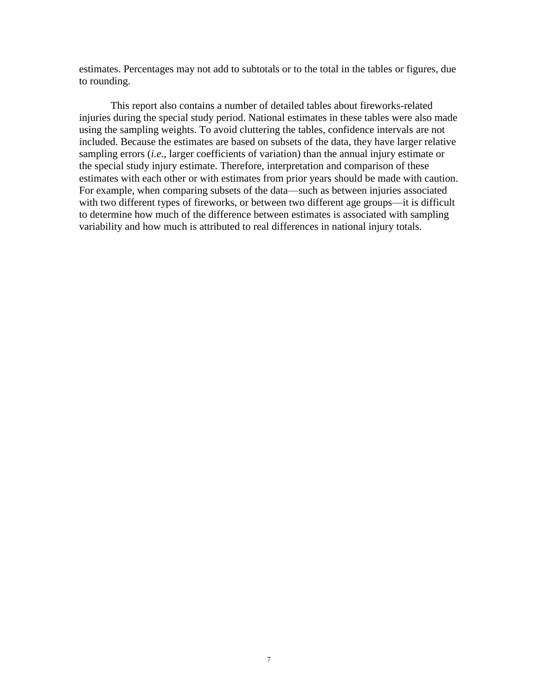estimates. Percentages may not add to subtotals or to the total in the tables or figures, due to rounding.

This report also contains a number of detailed tables about fireworks-related injuries during the special study period. National estimates in these tables were also made using the sampling weights. To avoid cluttering the tables, confidence intervals are not included. Because the estimates are based on subsets of the data, they have larger relative sampling errors (*i.e.*, larger coefficients of variation) than the annual injury estimate or the special study injury estimate. Therefore, interpretation and comparison of these estimates with each other or with estimates from prior years should be made with caution. For example, when comparing subsets of the data—such as between injuries associated with two different types of fireworks, or between two different age groups—it is difficult to determine how much of the difference between estimates is associated with sampling variability and how much is attributed to real differences in national injury totals.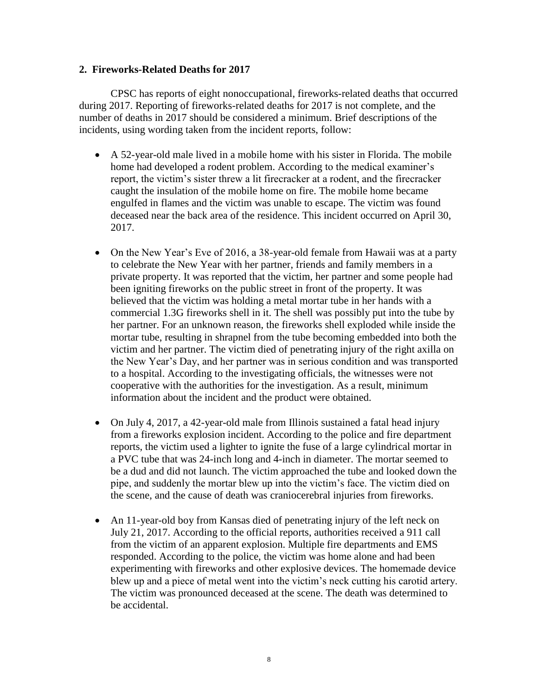### **2. Fireworks-Related Deaths for 2017**

CPSC has reports of eight nonoccupational, fireworks-related deaths that occurred during 2017. Reporting of fireworks-related deaths for 2017 is not complete, and the number of deaths in 2017 should be considered a minimum. Brief descriptions of the incidents, using wording taken from the incident reports, follow:

- A 52-year-old male lived in a mobile home with his sister in Florida. The mobile home had developed a rodent problem. According to the medical examiner's report, the victim's sister threw a lit firecracker at a rodent, and the firecracker caught the insulation of the mobile home on fire. The mobile home became engulfed in flames and the victim was unable to escape. The victim was found deceased near the back area of the residence. This incident occurred on April 30, 2017.
- On the New Year's Eve of 2016, a 38-year-old female from Hawaii was at a party to celebrate the New Year with her partner, friends and family members in a private property. It was reported that the victim, her partner and some people had been igniting fireworks on the public street in front of the property. It was believed that the victim was holding a metal mortar tube in her hands with a commercial 1.3G fireworks shell in it. The shell was possibly put into the tube by her partner. For an unknown reason, the fireworks shell exploded while inside the mortar tube, resulting in shrapnel from the tube becoming embedded into both the victim and her partner. The victim died of penetrating injury of the right axilla on the New Year's Day, and her partner was in serious condition and was transported to a hospital. According to the investigating officials, the witnesses were not cooperative with the authorities for the investigation. As a result, minimum information about the incident and the product were obtained.
- On July 4, 2017, a 42-year-old male from Illinois sustained a fatal head injury from a fireworks explosion incident. According to the police and fire department reports, the victim used a lighter to ignite the fuse of a large cylindrical mortar in a PVC tube that was 24-inch long and 4-inch in diameter. The mortar seemed to be a dud and did not launch. The victim approached the tube and looked down the pipe, and suddenly the mortar blew up into the victim's face. The victim died on the scene, and the cause of death was craniocerebral injuries from fireworks.
- An 11-year-old boy from Kansas died of penetrating injury of the left neck on July 21, 2017. According to the official reports, authorities received a 911 call from the victim of an apparent explosion. Multiple fire departments and EMS responded. According to the police, the victim was home alone and had been experimenting with fireworks and other explosive devices. The homemade device blew up and a piece of metal went into the victim's neck cutting his carotid artery. The victim was pronounced deceased at the scene. The death was determined to be accidental.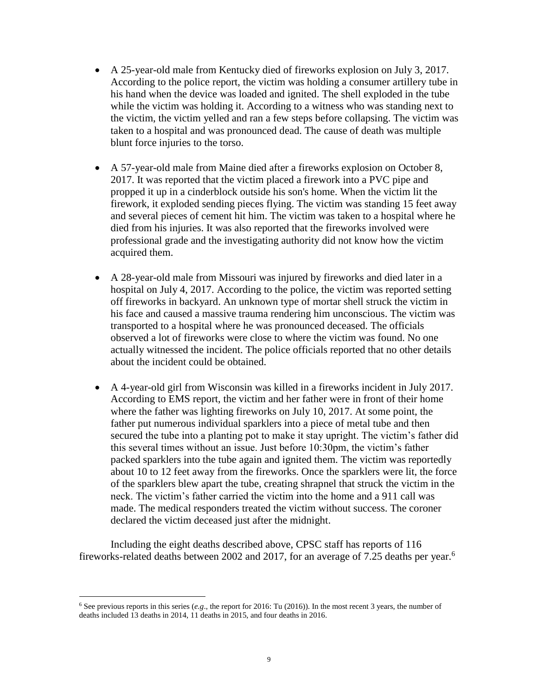- A 25-year-old male from Kentucky died of fireworks explosion on July 3, 2017. According to the police report, the victim was holding a consumer artillery tube in his hand when the device was loaded and ignited. The shell exploded in the tube while the victim was holding it. According to a witness who was standing next to the victim, the victim yelled and ran a few steps before collapsing. The victim was taken to a hospital and was pronounced dead. The cause of death was multiple blunt force injuries to the torso.
- A 57-year-old male from Maine died after a fireworks explosion on October 8, 2017. It was reported that the victim placed a firework into a PVC pipe and propped it up in a cinderblock outside his son's home. When the victim lit the firework, it exploded sending pieces flying. The victim was standing 15 feet away and several pieces of cement hit him. The victim was taken to a hospital where he died from his injuries. It was also reported that the fireworks involved were professional grade and the investigating authority did not know how the victim acquired them.
- A 28-year-old male from Missouri was injured by fireworks and died later in a hospital on July 4, 2017. According to the police, the victim was reported setting off fireworks in backyard. An unknown type of mortar shell struck the victim in his face and caused a massive trauma rendering him unconscious. The victim was transported to a hospital where he was pronounced deceased. The officials observed a lot of fireworks were close to where the victim was found. No one actually witnessed the incident. The police officials reported that no other details about the incident could be obtained.
- A 4-year-old girl from Wisconsin was killed in a fireworks incident in July 2017. According to EMS report, the victim and her father were in front of their home where the father was lighting fireworks on July 10, 2017. At some point, the father put numerous individual sparklers into a piece of metal tube and then secured the tube into a planting pot to make it stay upright. The victim's father did this several times without an issue. Just before 10:30pm, the victim's father packed sparklers into the tube again and ignited them. The victim was reportedly about 10 to 12 feet away from the fireworks. Once the sparklers were lit, the force of the sparklers blew apart the tube, creating shrapnel that struck the victim in the neck. The victim's father carried the victim into the home and a 911 call was made. The medical responders treated the victim without success. The coroner declared the victim deceased just after the midnight.

Including the eight deaths described above, CPSC staff has reports of 116 fireworks-related deaths between 2002 and 2017, for an average of 7.25 deaths per year.<sup>6</sup>

 $\overline{a}$ 

<sup>6</sup> See previous reports in this series (*e.g*., the report for 2016: Tu (2016)). In the most recent 3 years, the number of deaths included 13 deaths in 2014, 11 deaths in 2015, and four deaths in 2016.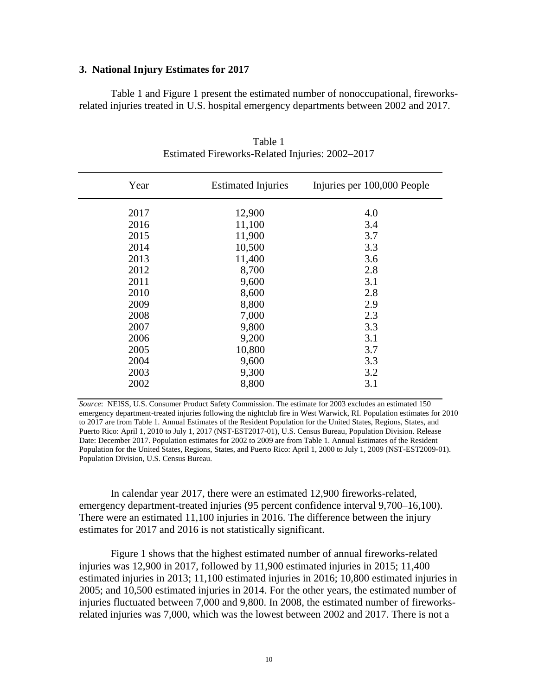#### **3. National Injury Estimates for 2017**

Table 1 and Figure 1 present the estimated number of nonoccupational, fireworksrelated injuries treated in U.S. hospital emergency departments between 2002 and 2017.

| Year | <b>Estimated Injuries</b> | Injuries per 100,000 People |
|------|---------------------------|-----------------------------|
| 2017 | 12,900                    | 4.0                         |
| 2016 | 11,100                    | 3.4                         |
| 2015 | 11,900                    | 3.7                         |
| 2014 | 10,500                    | 3.3                         |
| 2013 | 11,400                    | 3.6                         |
| 2012 | 8,700                     | 2.8                         |
| 2011 | 9,600                     | 3.1                         |
| 2010 | 8,600                     | 2.8                         |
| 2009 | 8,800                     | 2.9                         |
| 2008 | 7,000                     | 2.3                         |
| 2007 | 9,800                     | 3.3                         |
| 2006 | 9,200                     | 3.1                         |
| 2005 | 10,800                    | 3.7                         |
| 2004 | 9,600                     | 3.3                         |
| 2003 | 9,300                     | 3.2                         |
| 2002 | 8,800                     | 3.1                         |
|      |                           |                             |

Table 1 Estimated Fireworks-Related Injuries: 2002–2017

*Source*: NEISS, U.S. Consumer Product Safety Commission. The estimate for 2003 excludes an estimated 150 emergency department-treated injuries following the nightclub fire in West Warwick, RI. Population estimates for 2010 to 2017 are from Table 1. Annual Estimates of the Resident Population for the United States, Regions, States, and Puerto Rico: April 1, 2010 to July 1, 2017 (NST-EST2017-01), U.S. Census Bureau, Population Division. Release Date: December 2017. Population estimates for 2002 to 2009 are from Table 1. Annual Estimates of the Resident Population for the United States, Regions, States, and Puerto Rico: April 1, 2000 to July 1, 2009 (NST-EST2009-01). Population Division, U.S. Census Bureau.

In calendar year 2017, there were an estimated 12,900 fireworks-related, emergency department-treated injuries (95 percent confidence interval 9,700–16,100). There were an estimated 11,100 injuries in 2016. The difference between the injury estimates for 2017 and 2016 is not statistically significant.

Figure 1 shows that the highest estimated number of annual fireworks-related injuries was 12,900 in 2017, followed by 11,900 estimated injuries in 2015; 11,400 estimated injuries in 2013; 11,100 estimated injuries in 2016; 10,800 estimated injuries in 2005; and 10,500 estimated injuries in 2014. For the other years, the estimated number of injuries fluctuated between 7,000 and 9,800. In 2008, the estimated number of fireworksrelated injuries was 7,000, which was the lowest between 2002 and 2017. There is not a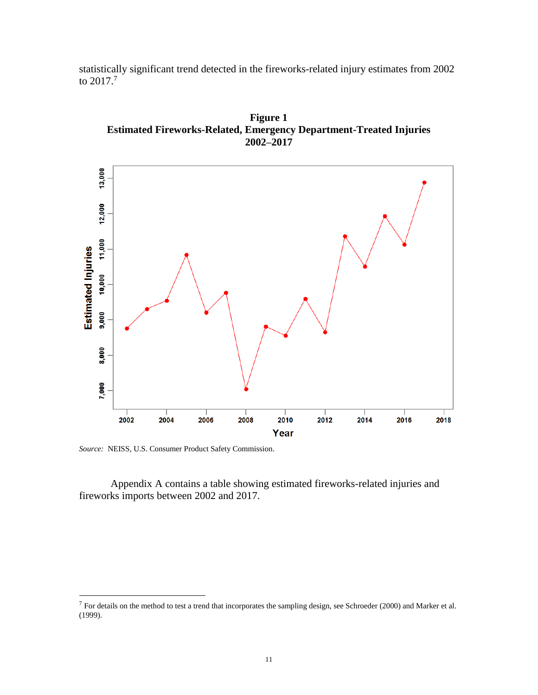statistically significant trend detected in the fireworks-related injury estimates from 2002 to 2017. $^7$ 





*Source:* NEISS, U.S. Consumer Product Safety Commission.

 $\overline{a}$ 

Appendix A contains a table showing estimated fireworks-related injuries and fireworks imports between 2002 and 2017.

 $7$  For details on the method to test a trend that incorporates the sampling design, see Schroeder (2000) and Marker et al. (1999).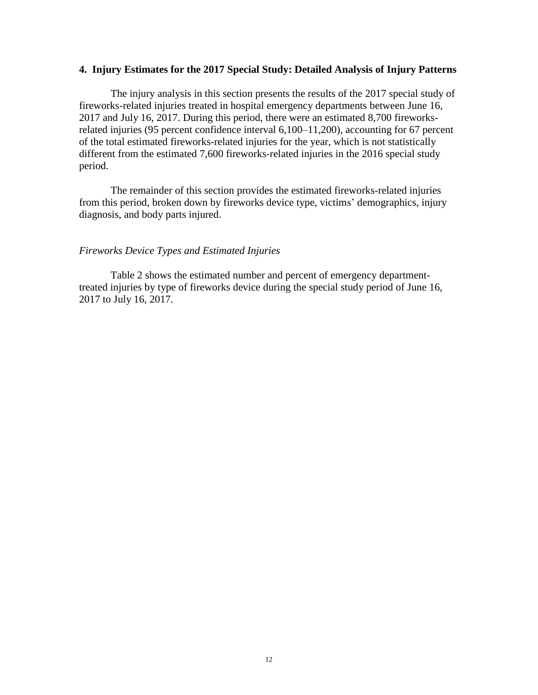#### **4. Injury Estimates for the 2017 Special Study: Detailed Analysis of Injury Patterns**

The injury analysis in this section presents the results of the 2017 special study of fireworks-related injuries treated in hospital emergency departments between June 16, 2017 and July 16, 2017. During this period, there were an estimated 8,700 fireworksrelated injuries (95 percent confidence interval 6,100–11,200), accounting for 67 percent of the total estimated fireworks-related injuries for the year, which is not statistically different from the estimated 7,600 fireworks-related injuries in the 2016 special study period.

The remainder of this section provides the estimated fireworks-related injuries from this period, broken down by fireworks device type, victims' demographics, injury diagnosis, and body parts injured.

#### *Fireworks Device Types and Estimated Injuries*

Table 2 shows the estimated number and percent of emergency departmenttreated injuries by type of fireworks device during the special study period of June 16, 2017 to July 16, 2017.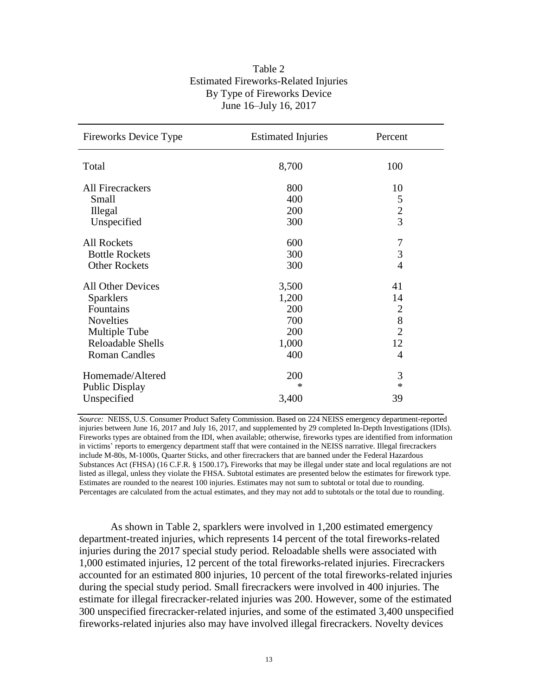| Table 2                                     |
|---------------------------------------------|
| <b>Estimated Fireworks-Related Injuries</b> |
| By Type of Fireworks Device                 |
| June 16–July 16, 2017                       |

| <b>Fireworks Device Type</b> | <b>Estimated Injuries</b> | Percent        |
|------------------------------|---------------------------|----------------|
| Total                        | 8,700                     | 100            |
| <b>All Firecrackers</b>      | 800                       | 10             |
| Small                        | 400                       | 5              |
| Illegal                      | 200                       | $\overline{c}$ |
| Unspecified                  | 300                       | $\overline{3}$ |
| <b>All Rockets</b>           | 600                       | $\overline{7}$ |
| <b>Bottle Rockets</b>        | 300                       | 3              |
| <b>Other Rockets</b>         | 300                       | $\overline{4}$ |
| <b>All Other Devices</b>     | 3,500                     | 41             |
| <b>Sparklers</b>             | 1,200                     | 14             |
| Fountains                    | 200                       | $\overline{2}$ |
| <b>Novelties</b>             | 700                       | $\frac{8}{2}$  |
| Multiple Tube                | 200                       |                |
| Reloadable Shells            | 1,000                     | 12             |
| <b>Roman Candles</b>         | 400                       | 4              |
| Homemade/Altered             | 200                       | 3              |
| <b>Public Display</b>        | $\ast$                    | $\ast$         |
| Unspecified                  | 3,400                     | 39             |

*Source:* NEISS, U.S. Consumer Product Safety Commission. Based on 224 NEISS emergency department-reported injuries between June 16, 2017 and July 16, 2017, and supplemented by 29 completed In-Depth Investigations (IDIs). Fireworks types are obtained from the IDI, when available; otherwise, fireworks types are identified from information in victims' reports to emergency department staff that were contained in the NEISS narrative. Illegal firecrackers include M-80s, M-1000s, Quarter Sticks, and other firecrackers that are banned under the Federal Hazardous Substances Act (FHSA) (16 C.F.R. § 1500.17)**.** Fireworks that may be illegal under state and local regulations are not listed as illegal, unless they violate the FHSA. Subtotal estimates are presented below the estimates for firework type. Estimates are rounded to the nearest 100 injuries. Estimates may not sum to subtotal or total due to rounding. Percentages are calculated from the actual estimates, and they may not add to subtotals or the total due to rounding.

As shown in Table 2, sparklers were involved in 1,200 estimated emergency department-treated injuries, which represents 14 percent of the total fireworks-related injuries during the 2017 special study period. Reloadable shells were associated with 1,000 estimated injuries, 12 percent of the total fireworks-related injuries. Firecrackers accounted for an estimated 800 injuries, 10 percent of the total fireworks-related injuries during the special study period. Small firecrackers were involved in 400 injuries. The estimate for illegal firecracker-related injuries was 200. However, some of the estimated 300 unspecified firecracker-related injuries, and some of the estimated 3,400 unspecified fireworks-related injuries also may have involved illegal firecrackers. Novelty devices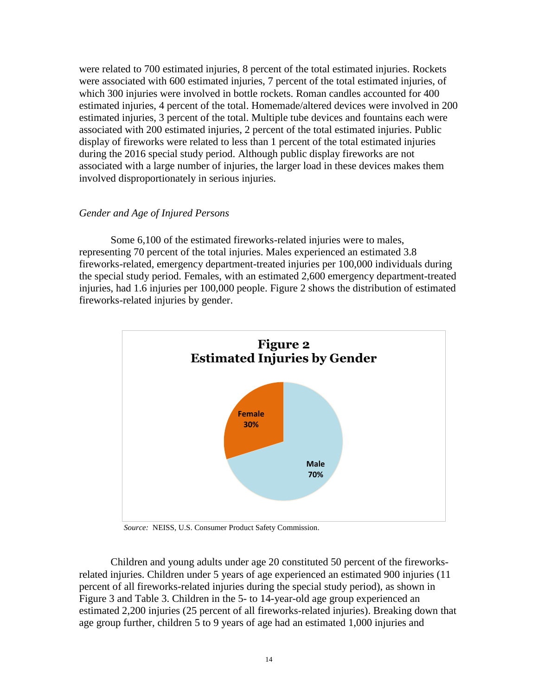were related to 700 estimated injuries, 8 percent of the total estimated injuries. Rockets were associated with 600 estimated injuries, 7 percent of the total estimated injuries, of which 300 injuries were involved in bottle rockets. Roman candles accounted for 400 estimated injuries, 4 percent of the total. Homemade/altered devices were involved in 200 estimated injuries, 3 percent of the total. Multiple tube devices and fountains each were associated with 200 estimated injuries, 2 percent of the total estimated injuries. Public display of fireworks were related to less than 1 percent of the total estimated injuries during the 2016 special study period. Although public display fireworks are not associated with a large number of injuries, the larger load in these devices makes them involved disproportionately in serious injuries.

### *Gender and Age of Injured Persons*

Some 6,100 of the estimated fireworks-related injuries were to males, representing 70 percent of the total injuries. Males experienced an estimated 3.8 fireworks-related, emergency department-treated injuries per 100,000 individuals during the special study period. Females, with an estimated 2,600 emergency department-treated injuries, had 1.6 injuries per 100,000 people. Figure 2 shows the distribution of estimated fireworks-related injuries by gender.



*Source:* NEISS, U.S. Consumer Product Safety Commission.

Children and young adults under age 20 constituted 50 percent of the fireworksrelated injuries. Children under 5 years of age experienced an estimated 900 injuries (11 percent of all fireworks-related injuries during the special study period), as shown in Figure 3 and Table 3. Children in the 5- to 14-year-old age group experienced an estimated 2,200 injuries (25 percent of all fireworks-related injuries). Breaking down that age group further, children 5 to 9 years of age had an estimated 1,000 injuries and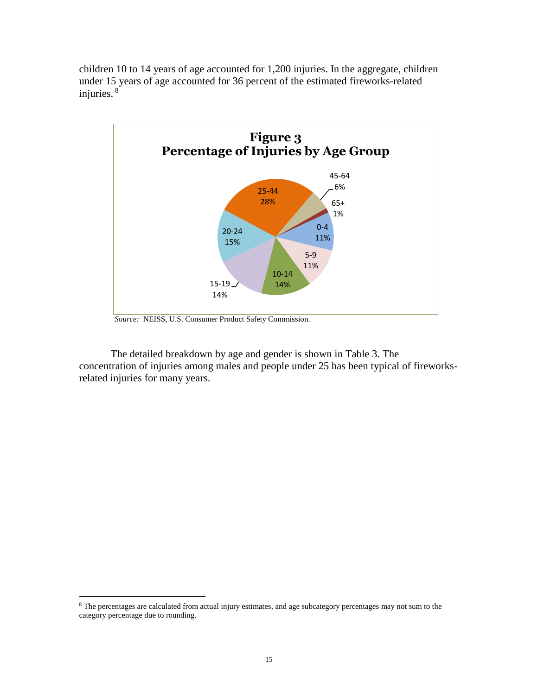children 10 to 14 years of age accounted for 1,200 injuries. In the aggregate, children under 15 years of age accounted for 36 percent of the estimated fireworks-related injuries. <sup>8</sup>



 *Source:* NEISS, U.S. Consumer Product Safety Commission.

The detailed breakdown by age and gender is shown in Table 3. The concentration of injuries among males and people under 25 has been typical of fireworksrelated injuries for many years.

 $\overline{a}$ 

<sup>&</sup>lt;sup>8</sup> The percentages are calculated from actual injury estimates, and age subcategory percentages may not sum to the category percentage due to rounding.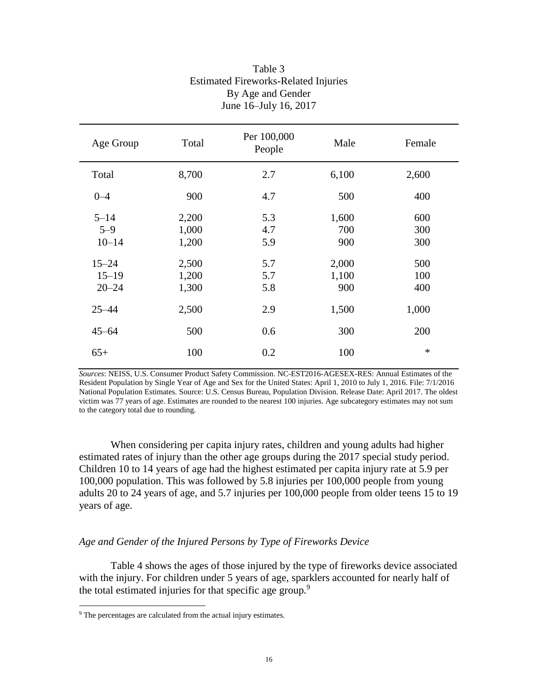| Age Group                           | Total                   | Per 100,000<br>People | Male                  | Female            |
|-------------------------------------|-------------------------|-----------------------|-----------------------|-------------------|
| Total                               | 8,700                   | 2.7                   | 6,100                 | 2,600             |
| $0 - 4$                             | 900                     | 4.7                   | 500                   | 400               |
| $5 - 14$<br>$5 - 9$<br>$10 - 14$    | 2,200<br>1,000<br>1,200 | 5.3<br>4.7<br>5.9     | 1,600<br>700<br>900   | 600<br>300<br>300 |
| $15 - 24$<br>$15 - 19$<br>$20 - 24$ | 2,500<br>1,200<br>1,300 | 5.7<br>5.7<br>5.8     | 2,000<br>1,100<br>900 | 500<br>100<br>400 |
| $25 - 44$                           | 2,500                   | 2.9                   | 1,500                 | 1,000             |
| $45 - 64$                           | 500                     | 0.6                   | 300                   | 200               |
| $65+$                               | 100                     | 0.2                   | 100                   | $\ast$            |

## Table 3 Estimated Fireworks-Related Injuries By Age and Gender June 16–July 16, 2017

*Sources*: NEISS, U.S. Consumer Product Safety Commission. NC-EST2016-AGESEX-RES: Annual Estimates of the Resident Population by Single Year of Age and Sex for the United States: April 1, 2010 to July 1, 2016. File: 7/1/2016 National Population Estimates. Source: U.S. Census Bureau, Population Division. Release Date: April 2017. The oldest victim was 77 years of age. Estimates are rounded to the nearest 100 injuries. Age subcategory estimates may not sum to the category total due to rounding.

When considering per capita injury rates, children and young adults had higher estimated rates of injury than the other age groups during the 2017 special study period. Children 10 to 14 years of age had the highest estimated per capita injury rate at 5.9 per 100,000 population. This was followed by 5.8 injuries per 100,000 people from young adults 20 to 24 years of age, and 5.7 injuries per 100,000 people from older teens 15 to 19 years of age.

## *Age and Gender of the Injured Persons by Type of Fireworks Device*

Table 4 shows the ages of those injured by the type of fireworks device associated with the injury. For children under 5 years of age, sparklers accounted for nearly half of the total estimated injuries for that specific age group*.* 9 

 $\overline{a}$ 

<sup>&</sup>lt;sup>9</sup> The percentages are calculated from the actual injury estimates.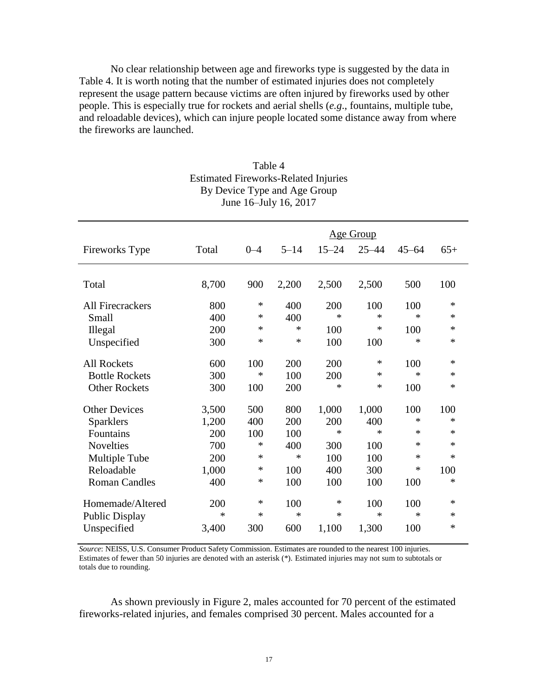No clear relationship between age and fireworks type is suggested by the data in Table 4. It is worth noting that the number of estimated injuries does not completely represent the usage pattern because victims are often injured by fireworks used by other people. This is especially true for rockets and aerial shells (*e.g*., fountains, multiple tube, and reloadable devices), which can injure people located some distance away from where the fireworks are launched.

|                         |        |         | Age Group |           |           |           |        |
|-------------------------|--------|---------|-----------|-----------|-----------|-----------|--------|
| Fireworks Type          | Total  | $0 - 4$ | $5 - 14$  | $15 - 24$ | $25 - 44$ | $45 - 64$ | $65+$  |
| Total                   | 8,700  | 900     | 2,200     | 2,500     | 2,500     | 500       | 100    |
|                         |        |         |           |           |           |           |        |
| <b>All Firecrackers</b> | 800    | $\ast$  | 400       | 200       | 100       | 100       | $\ast$ |
| Small                   | 400    | ∗       | 400       | $\ast$    | $\ast$    | $\ast$    | $\ast$ |
| <b>Illegal</b>          | 200    | $\ast$  | $\ast$    | 100       | ∗         | 100       | ∗      |
| Unspecified             | 300    | ∗       | $\ast$    | 100       | 100       | $\ast$    | *      |
| <b>All Rockets</b>      | 600    | 100     | 200       | 200       | ∗         | 100       | ∗      |
| <b>Bottle Rockets</b>   | 300    | $\ast$  | 100       | 200       | *         | $\ast$    | ∗      |
| <b>Other Rockets</b>    | 300    | 100     | 200       | *         | ∗         | 100       | $\ast$ |
| <b>Other Devices</b>    | 3,500  | 500     | 800       | 1,000     | 1,000     | 100       | 100    |
| Sparklers               | 1,200  | 400     | 200       | 200       | 400       | $\ast$    | $\ast$ |
| Fountains               | 200    | 100     | 100       | *         | ∗         | ∗         | *      |
| <b>Novelties</b>        | 700    | ∗       | 400       | 300       | 100       | $\ast$    | ∗      |
| Multiple Tube           | 200    | ∗       | $\ast$    | 100       | 100       | $\ast$    | $\ast$ |
| Reloadable              | 1,000  | ∗       | 100       | 400       | 300       | ∗         | 100    |
| <b>Roman Candles</b>    | 400    | ∗       | 100       | 100       | 100       | 100       | ∗      |
| Homemade/Altered        | 200    | ∗       | 100       | *         | 100       | 100       | *      |
| <b>Public Display</b>   | $\ast$ | $\ast$  | $\ast$    | $\ast$    | *         | $\ast$    | $\ast$ |
| Unspecified             | 3,400  | 300     | 600       | 1,100     | 1,300     | 100       | $\ast$ |

## Table 4 Estimated Fireworks-Related Injuries By Device Type and Age Group June 16–July 16, 2017

*Source*: NEISS, U.S. Consumer Product Safety Commission. Estimates are rounded to the nearest 100 injuries. Estimates of fewer than 50 injuries are denoted with an asterisk (\*). Estimated injuries may not sum to subtotals or totals due to rounding.

As shown previously in Figure 2, males accounted for 70 percent of the estimated fireworks-related injuries, and females comprised 30 percent. Males accounted for a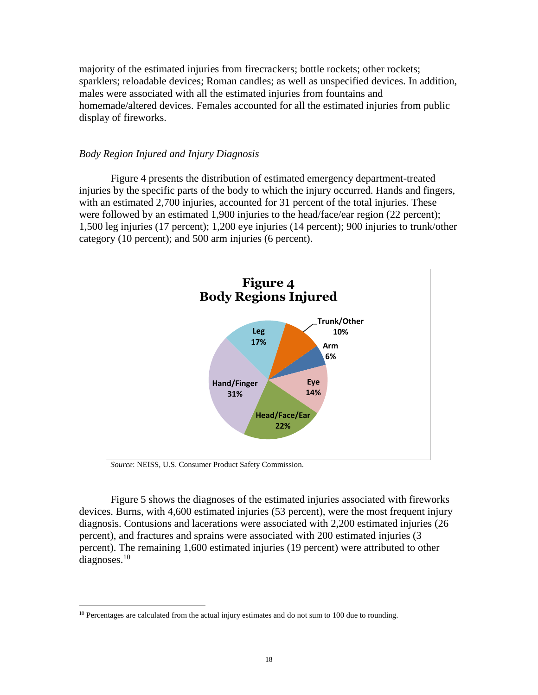majority of the estimated injuries from firecrackers; bottle rockets; other rockets; sparklers; reloadable devices; Roman candles; as well as unspecified devices. In addition, males were associated with all the estimated injuries from fountains and homemade/altered devices. Females accounted for all the estimated injuries from public display of fireworks.

### *Body Region Injured and Injury Diagnosis*

Figure 4 presents the distribution of estimated emergency department-treated injuries by the specific parts of the body to which the injury occurred. Hands and fingers, with an estimated 2,700 injuries, accounted for 31 percent of the total injuries. These were followed by an estimated 1,900 injuries to the head/face/ear region (22 percent); 1,500 leg injuries (17 percent); 1,200 eye injuries (14 percent); 900 injuries to trunk/other category (10 percent); and 500 arm injuries (6 percent).



*Source*: NEISS, U.S. Consumer Product Safety Commission.

 $\overline{a}$ 

Figure 5 shows the diagnoses of the estimated injuries associated with fireworks devices. Burns, with 4,600 estimated injuries (53 percent), were the most frequent injury diagnosis. Contusions and lacerations were associated with 2,200 estimated injuries (26 percent), and fractures and sprains were associated with 200 estimated injuries (3 percent). The remaining 1,600 estimated injuries (19 percent) were attributed to other diagnoses. $10$ 

<sup>&</sup>lt;sup>10</sup> Percentages are calculated from the actual injury estimates and do not sum to 100 due to rounding.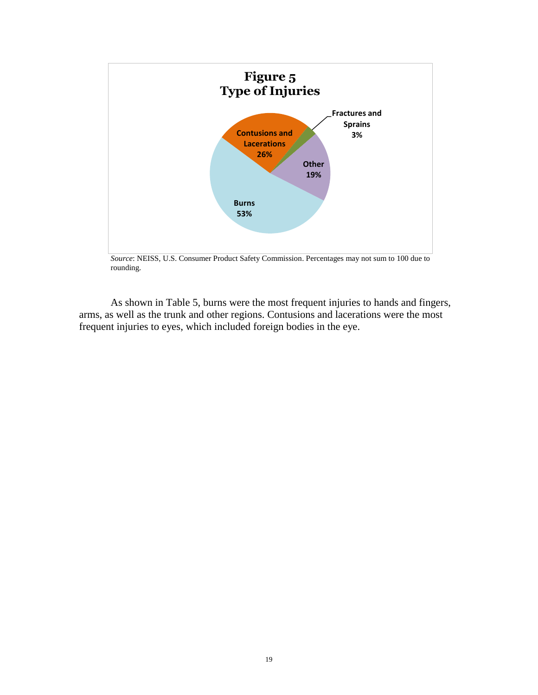

rounding.

As shown in Table 5, burns were the most frequent injuries to hands and fingers, arms, as well as the trunk and other regions. Contusions and lacerations were the most frequent injuries to eyes, which included foreign bodies in the eye.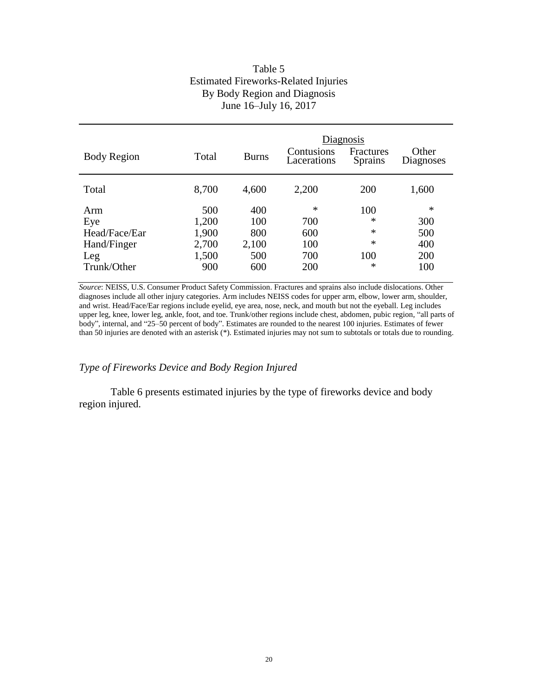## Table 5 Estimated Fireworks-Related Injuries By Body Region and Diagnosis June 16–July 16, 2017

| <b>Body Region</b>                                               | Total                                          | <b>Burns</b>                             | Contusions<br>Lacerations                 | Diagnosis<br>Fractures<br><b>Sprains</b>           | Other<br>Diagnoses                        |
|------------------------------------------------------------------|------------------------------------------------|------------------------------------------|-------------------------------------------|----------------------------------------------------|-------------------------------------------|
| Total                                                            | 8,700                                          | 4,600                                    | 2,200                                     | 200                                                | 1,600                                     |
| Arm<br>Eye<br>Head/Face/Ear<br>Hand/Finger<br>Leg<br>Trunk/Other | 500<br>1,200<br>1,900<br>2,700<br>1,500<br>900 | 400<br>100<br>800<br>2,100<br>500<br>600 | $\ast$<br>700<br>600<br>100<br>700<br>200 | 100<br>$\ast$<br>$\ast$<br>$\ast$<br>100<br>$\ast$ | $\ast$<br>300<br>500<br>400<br>200<br>100 |

*Source*: NEISS, U.S. Consumer Product Safety Commission. Fractures and sprains also include dislocations. Other diagnoses include all other injury categories. Arm includes NEISS codes for upper arm, elbow, lower arm, shoulder, and wrist. Head/Face/Ear regions include eyelid, eye area, nose, neck, and mouth but not the eyeball. Leg includes upper leg, knee, lower leg, ankle, foot, and toe. Trunk/other regions include chest, abdomen, pubic region, "all parts of body", internal, and "25–50 percent of body". Estimates are rounded to the nearest 100 injuries. Estimates of fewer than 50 injuries are denoted with an asterisk (\*). Estimated injuries may not sum to subtotals or totals due to rounding.

### *Type of Fireworks Device and Body Region Injured*

Table 6 presents estimated injuries by the type of fireworks device and body region injured.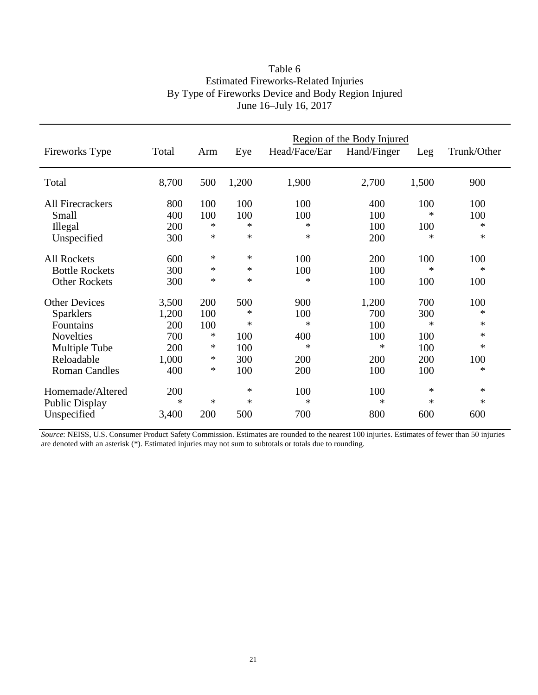| Fireworks Type          | Total  | Arm | Eye    | Head/Face/Ear | Region of the Body Injured<br>Hand/Finger | Leg    | Trunk/Other |
|-------------------------|--------|-----|--------|---------------|-------------------------------------------|--------|-------------|
| Total                   | 8,700  | 500 | 1,200  | 1,900         | 2,700                                     | 1,500  | 900         |
| <b>All Firecrackers</b> | 800    | 100 | 100    | 100           | 400                                       | 100    | 100         |
| Small                   | 400    | 100 | 100    | 100           | 100                                       | ∗      | 100         |
| Illegal                 | 200    | *   | $\ast$ | $\ast$        | 100                                       | 100    | ∗           |
| Unspecified             | 300    | *   | $\ast$ | $\ast$        | 200                                       | ∗      | ∗           |
| <b>All Rockets</b>      | 600    | *   | $\ast$ | 100           | 200                                       | 100    | 100         |
| <b>Bottle Rockets</b>   | 300    | *   | $\ast$ | 100           | 100                                       | $\ast$ | ∗           |
| <b>Other Rockets</b>    | 300    | *   | $\ast$ | $\ast$        | 100                                       | 100    | 100         |
| <b>Other Devices</b>    | 3,500  | 200 | 500    | 900           | 1,200                                     | 700    | 100         |
| <b>Sparklers</b>        | 1,200  | 100 | ∗      | 100           | 700                                       | 300    | ∗           |
| Fountains               | 200    | 100 | $\ast$ | $\ast$        | 100                                       | $\ast$ | ∗           |
| <b>Novelties</b>        | 700    | ∗   | 100    | 400           | 100                                       | 100    | ∗           |
| Multiple Tube           | 200    | ∗   | 100    | $\ast$        | $\ast$                                    | 100    | ∗           |
| Reloadable              | 1,000  | ∗   | 300    | 200           | 200                                       | 200    | 100         |
| <b>Roman Candles</b>    | 400    | ∗   | 100    | 200           | 100                                       | 100    | ∗           |
| Homemade/Altered        | 200    |     | $\ast$ | 100           | 100                                       | $\ast$ | ∗           |
| Public Display          | $\ast$ | *   | ∗      | $\ast$        | ∗                                         | $\ast$ | ∗           |
| Unspecified             | 3,400  | 200 | 500    | 700           | 800                                       | 600    | 600         |

## Table 6 Estimated Fireworks-Related Injuries By Type of Fireworks Device and Body Region Injured June 16–July 16, 2017

*Source*: NEISS, U.S. Consumer Product Safety Commission. Estimates are rounded to the nearest 100 injuries. Estimates of fewer than 50 injuries are denoted with an asterisk (\*). Estimated injuries may not sum to subtotals or totals due to rounding.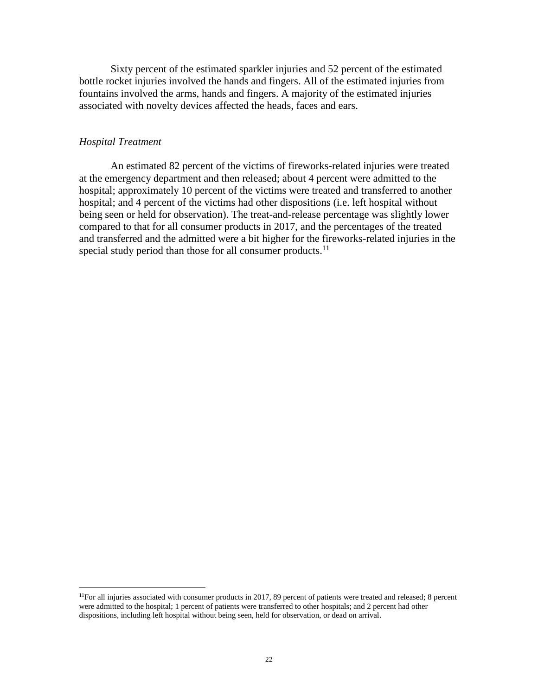Sixty percent of the estimated sparkler injuries and 52 percent of the estimated bottle rocket injuries involved the hands and fingers. All of the estimated injuries from fountains involved the arms, hands and fingers. A majority of the estimated injuries associated with novelty devices affected the heads, faces and ears.

#### *Hospital Treatment*

 $\overline{a}$ 

An estimated 82 percent of the victims of fireworks-related injuries were treated at the emergency department and then released; about 4 percent were admitted to the hospital; approximately 10 percent of the victims were treated and transferred to another hospital; and 4 percent of the victims had other dispositions (i.e. left hospital without being seen or held for observation). The treat-and-release percentage was slightly lower compared to that for all consumer products in 2017, and the percentages of the treated and transferred and the admitted were a bit higher for the fireworks-related injuries in the special study period than those for all consumer products.<sup>11</sup>

 $11$ For all injuries associated with consumer products in 2017, 89 percent of patients were treated and released; 8 percent were admitted to the hospital; 1 percent of patients were transferred to other hospitals; and 2 percent had other dispositions, including left hospital without being seen, held for observation, or dead on arrival.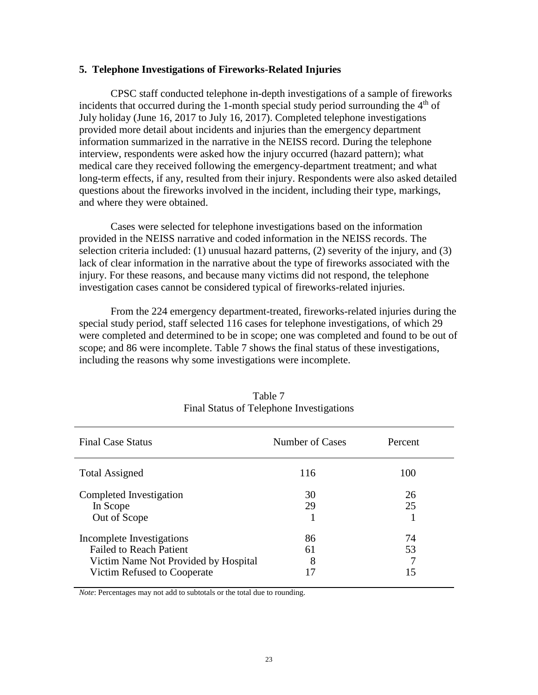#### **5. Telephone Investigations of Fireworks-Related Injuries**

CPSC staff conducted telephone in-depth investigations of a sample of fireworks incidents that occurred during the 1-month special study period surrounding the  $4<sup>th</sup>$  of July holiday (June 16, 2017 to July 16, 2017). Completed telephone investigations provided more detail about incidents and injuries than the emergency department information summarized in the narrative in the NEISS record. During the telephone interview, respondents were asked how the injury occurred (hazard pattern); what medical care they received following the emergency-department treatment; and what long-term effects, if any, resulted from their injury. Respondents were also asked detailed questions about the fireworks involved in the incident, including their type, markings, and where they were obtained.

Cases were selected for telephone investigations based on the information provided in the NEISS narrative and coded information in the NEISS records. The selection criteria included: (1) unusual hazard patterns, (2) severity of the injury, and (3) lack of clear information in the narrative about the type of fireworks associated with the injury. For these reasons, and because many victims did not respond, the telephone investigation cases cannot be considered typical of fireworks-related injuries.

From the 224 emergency department-treated, fireworks-related injuries during the special study period, staff selected 116 cases for telephone investigations, of which 29 were completed and determined to be in scope; one was completed and found to be out of scope; and 86 were incomplete. Table 7 shows the final status of these investigations, including the reasons why some investigations were incomplete.

| <b>Final Case Status</b>                                                                                                           | Number of Cases | Percent        |
|------------------------------------------------------------------------------------------------------------------------------------|-----------------|----------------|
| <b>Total Assigned</b>                                                                                                              | 116             | 100            |
| Completed Investigation<br>In Scope<br>Out of Scope                                                                                | 30<br>29        | 26<br>25       |
| Incomplete Investigations<br><b>Failed to Reach Patient</b><br>Victim Name Not Provided by Hospital<br>Victim Refused to Cooperate | 86<br>61<br>8   | 74<br>53<br>15 |

Table 7 Final Status of Telephone Investigations

*Note*: Percentages may not add to subtotals or the total due to rounding.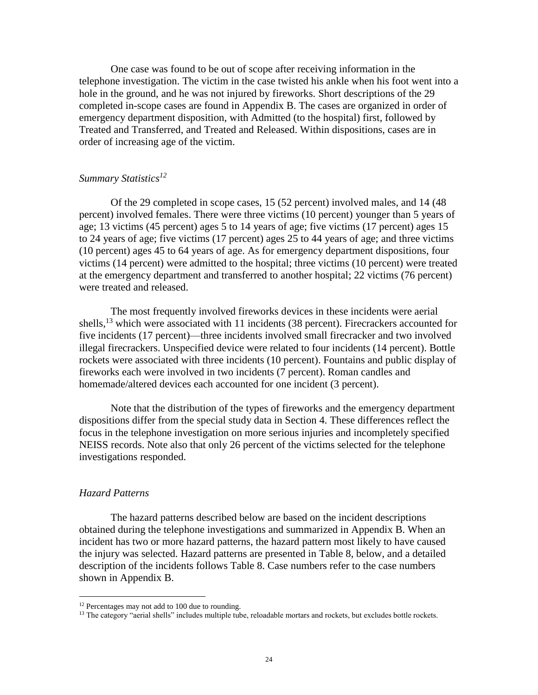One case was found to be out of scope after receiving information in the telephone investigation. The victim in the case twisted his ankle when his foot went into a hole in the ground, and he was not injured by fireworks. Short descriptions of the 29 completed in-scope cases are found in Appendix B. The cases are organized in order of emergency department disposition, with Admitted (to the hospital) first, followed by Treated and Transferred, and Treated and Released. Within dispositions, cases are in order of increasing age of the victim.

#### *Summary Statistics<sup>12</sup>*

Of the 29 completed in scope cases, 15 (52 percent) involved males, and 14 (48 percent) involved females. There were three victims (10 percent) younger than 5 years of age; 13 victims (45 percent) ages 5 to 14 years of age; five victims (17 percent) ages 15 to 24 years of age; five victims (17 percent) ages 25 to 44 years of age; and three victims (10 percent) ages 45 to 64 years of age. As for emergency department dispositions, four victims (14 percent) were admitted to the hospital; three victims (10 percent) were treated at the emergency department and transferred to another hospital; 22 victims (76 percent) were treated and released.

The most frequently involved fireworks devices in these incidents were aerial shells,<sup>13</sup> which were associated with 11 incidents (38 percent). Firecrackers accounted for five incidents (17 percent)—three incidents involved small firecracker and two involved illegal firecrackers. Unspecified device were related to four incidents (14 percent). Bottle rockets were associated with three incidents (10 percent). Fountains and public display of fireworks each were involved in two incidents (7 percent). Roman candles and homemade/altered devices each accounted for one incident (3 percent).

Note that the distribution of the types of fireworks and the emergency department dispositions differ from the special study data in Section 4. These differences reflect the focus in the telephone investigation on more serious injuries and incompletely specified NEISS records. Note also that only 26 percent of the victims selected for the telephone investigations responded.

#### *Hazard Patterns*

 $\overline{a}$ 

The hazard patterns described below are based on the incident descriptions obtained during the telephone investigations and summarized in Appendix B. When an incident has two or more hazard patterns, the hazard pattern most likely to have caused the injury was selected. Hazard patterns are presented in Table 8, below, and a detailed description of the incidents follows Table 8. Case numbers refer to the case numbers shown in Appendix B.

<sup>&</sup>lt;sup>12</sup> Percentages may not add to 100 due to rounding.

<sup>&</sup>lt;sup>13</sup> The category "aerial shells" includes multiple tube, reloadable mortars and rockets, but excludes bottle rockets.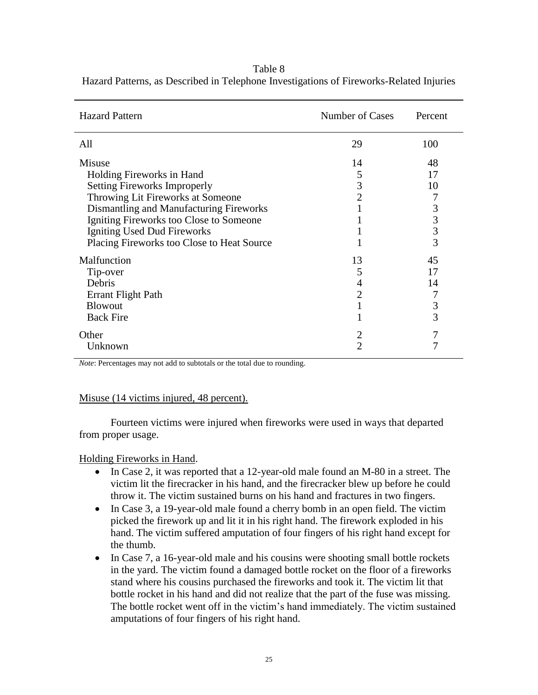| <b>Hazard Pattern</b>                                                                                                                                                                                                                | Number of Cases                     | Percent                       |
|--------------------------------------------------------------------------------------------------------------------------------------------------------------------------------------------------------------------------------------|-------------------------------------|-------------------------------|
| All                                                                                                                                                                                                                                  | 29                                  | 100                           |
| Misuse<br>Holding Fireworks in Hand<br><b>Setting Fireworks Improperly</b><br>Throwing Lit Fireworks at Someone<br>Dismantling and Manufacturing Fireworks<br>Igniting Fireworks too Close to Someone<br>Igniting Used Dud Fireworks | 14<br>5<br>3<br>$\overline{2}$      | 48<br>17<br>10<br>3<br>3<br>3 |
| Placing Fireworks too Close to Heat Source                                                                                                                                                                                           |                                     | 3                             |
| Malfunction<br>Tip-over<br>Debris<br>Errant Flight Path<br><b>Blowout</b><br><b>Back Fire</b>                                                                                                                                        | 13<br>5<br>4<br>$\overline{2}$<br>1 | 45<br>17<br>14<br>3<br>3      |
| Other<br>Unknown                                                                                                                                                                                                                     | 2<br>$\overline{2}$                 | 7                             |

Table 8 Hazard Patterns, as Described in Telephone Investigations of Fireworks-Related Injuries

*Note*: Percentages may not add to subtotals or the total due to rounding.

### Misuse (14 victims injured, 48 percent).

Fourteen victims were injured when fireworks were used in ways that departed from proper usage.

#### Holding Fireworks in Hand.

- In Case 2, it was reported that a 12-year-old male found an M-80 in a street. The victim lit the firecracker in his hand, and the firecracker blew up before he could throw it. The victim sustained burns on his hand and fractures in two fingers.
- In Case 3, a 19-year-old male found a cherry bomb in an open field. The victim picked the firework up and lit it in his right hand. The firework exploded in his hand. The victim suffered amputation of four fingers of his right hand except for the thumb.
- In Case 7, a 16-year-old male and his cousins were shooting small bottle rockets in the yard. The victim found a damaged bottle rocket on the floor of a fireworks stand where his cousins purchased the fireworks and took it. The victim lit that bottle rocket in his hand and did not realize that the part of the fuse was missing. The bottle rocket went off in the victim's hand immediately. The victim sustained amputations of four fingers of his right hand.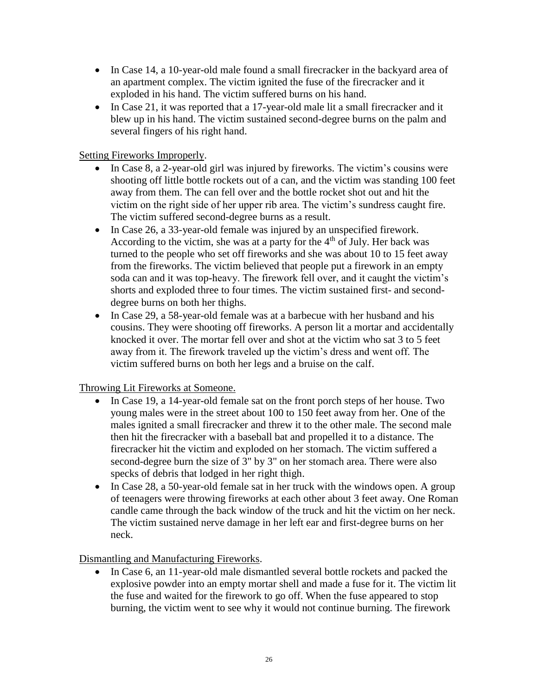- In Case 14, a 10-year-old male found a small firecracker in the backyard area of an apartment complex. The victim ignited the fuse of the firecracker and it exploded in his hand. The victim suffered burns on his hand.
- In Case 21, it was reported that a 17-year-old male lit a small firecracker and it blew up in his hand. The victim sustained second-degree burns on the palm and several fingers of his right hand.

Setting Fireworks Improperly.

- In Case 8, a 2-year-old girl was injured by fireworks. The victim's cousins were shooting off little bottle rockets out of a can, and the victim was standing 100 feet away from them. The can fell over and the bottle rocket shot out and hit the victim on the right side of her upper rib area. The victim's sundress caught fire. The victim suffered second-degree burns as a result.
- In Case 26, a 33-year-old female was injured by an unspecified firework. According to the victim, she was at a party for the  $4<sup>th</sup>$  of July. Her back was turned to the people who set off fireworks and she was about 10 to 15 feet away from the fireworks. The victim believed that people put a firework in an empty soda can and it was top-heavy. The firework fell over, and it caught the victim's shorts and exploded three to four times. The victim sustained first- and seconddegree burns on both her thighs.
- In Case 29, a 58-year-old female was at a barbecue with her husband and his cousins. They were shooting off fireworks. A person lit a mortar and accidentally knocked it over. The mortar fell over and shot at the victim who sat 3 to 5 feet away from it. The firework traveled up the victim's dress and went off. The victim suffered burns on both her legs and a bruise on the calf.

Throwing Lit Fireworks at Someone.

- In Case 19, a 14-year-old female sat on the front porch steps of her house. Two young males were in the street about 100 to 150 feet away from her. One of the males ignited a small firecracker and threw it to the other male. The second male then hit the firecracker with a baseball bat and propelled it to a distance. The firecracker hit the victim and exploded on her stomach. The victim suffered a second-degree burn the size of 3" by 3" on her stomach area. There were also specks of debris that lodged in her right thigh.
- In Case 28, a 50-year-old female sat in her truck with the windows open. A group of teenagers were throwing fireworks at each other about 3 feet away. One Roman candle came through the back window of the truck and hit the victim on her neck. The victim sustained nerve damage in her left ear and first-degree burns on her neck.

Dismantling and Manufacturing Fireworks.

• In Case 6, an 11-year-old male dismantled several bottle rockets and packed the explosive powder into an empty mortar shell and made a fuse for it. The victim lit the fuse and waited for the firework to go off. When the fuse appeared to stop burning, the victim went to see why it would not continue burning. The firework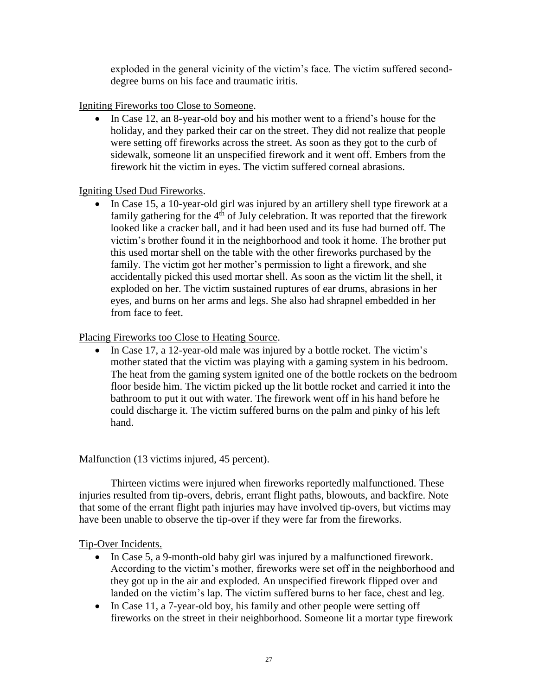exploded in the general vicinity of the victim's face. The victim suffered seconddegree burns on his face and traumatic iritis.

Igniting Fireworks too Close to Someone.

• In Case 12, an 8-year-old boy and his mother went to a friend's house for the holiday, and they parked their car on the street. They did not realize that people were setting off fireworks across the street. As soon as they got to the curb of sidewalk, someone lit an unspecified firework and it went off. Embers from the firework hit the victim in eyes. The victim suffered corneal abrasions.

## Igniting Used Dud Fireworks.

• In Case 15, a 10-year-old girl was injured by an artillery shell type firework at a family gathering for the  $4<sup>th</sup>$  of July celebration. It was reported that the firework looked like a cracker ball, and it had been used and its fuse had burned off. The victim's brother found it in the neighborhood and took it home. The brother put this used mortar shell on the table with the other fireworks purchased by the family. The victim got her mother's permission to light a firework, and she accidentally picked this used mortar shell. As soon as the victim lit the shell, it exploded on her. The victim sustained ruptures of ear drums, abrasions in her eyes, and burns on her arms and legs. She also had shrapnel embedded in her from face to feet.

## Placing Fireworks too Close to Heating Source.

• In Case 17, a 12-year-old male was injured by a bottle rocket. The victim's mother stated that the victim was playing with a gaming system in his bedroom. The heat from the gaming system ignited one of the bottle rockets on the bedroom floor beside him. The victim picked up the lit bottle rocket and carried it into the bathroom to put it out with water. The firework went off in his hand before he could discharge it. The victim suffered burns on the palm and pinky of his left hand.

## Malfunction (13 victims injured, 45 percent).

Thirteen victims were injured when fireworks reportedly malfunctioned. These injuries resulted from tip-overs, debris, errant flight paths, blowouts, and backfire. Note that some of the errant flight path injuries may have involved tip-overs, but victims may have been unable to observe the tip-over if they were far from the fireworks.

## Tip-Over Incidents.

- In Case 5, a 9-month-old baby girl was injured by a malfunctioned firework. According to the victim's mother, fireworks were set off in the neighborhood and they got up in the air and exploded. An unspecified firework flipped over and landed on the victim's lap. The victim suffered burns to her face, chest and leg.
- In Case 11, a 7-year-old boy, his family and other people were setting off fireworks on the street in their neighborhood. Someone lit a mortar type firework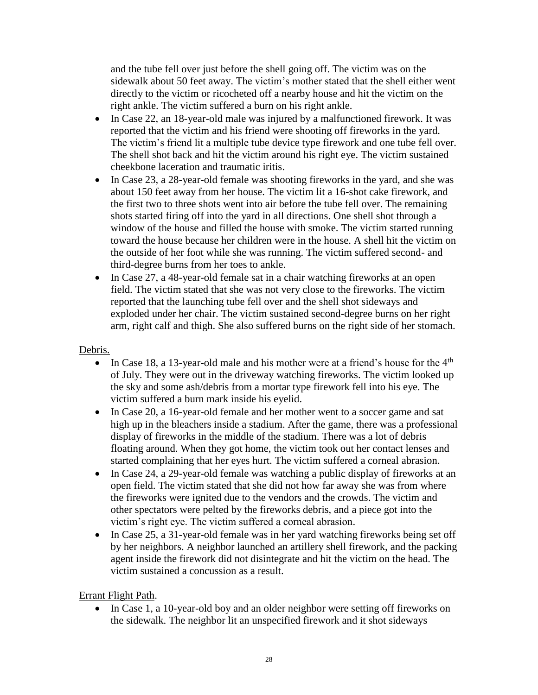and the tube fell over just before the shell going off. The victim was on the sidewalk about 50 feet away. The victim's mother stated that the shell either went directly to the victim or ricocheted off a nearby house and hit the victim on the right ankle. The victim suffered a burn on his right ankle.

- In Case 22, an 18-year-old male was injured by a malfunctioned firework. It was reported that the victim and his friend were shooting off fireworks in the yard. The victim's friend lit a multiple tube device type firework and one tube fell over. The shell shot back and hit the victim around his right eye. The victim sustained cheekbone laceration and traumatic iritis.
- In Case 23, a 28-year-old female was shooting fireworks in the yard, and she was about 150 feet away from her house. The victim lit a 16-shot cake firework, and the first two to three shots went into air before the tube fell over. The remaining shots started firing off into the yard in all directions. One shell shot through a window of the house and filled the house with smoke. The victim started running toward the house because her children were in the house. A shell hit the victim on the outside of her foot while she was running. The victim suffered second- and third-degree burns from her toes to ankle.
- In Case 27, a 48-year-old female sat in a chair watching fireworks at an open field. The victim stated that she was not very close to the fireworks. The victim reported that the launching tube fell over and the shell shot sideways and exploded under her chair. The victim sustained second-degree burns on her right arm, right calf and thigh. She also suffered burns on the right side of her stomach.

## Debris.

- In Case 18, a 13-year-old male and his mother were at a friend's house for the  $4<sup>th</sup>$ of July. They were out in the driveway watching fireworks. The victim looked up the sky and some ash/debris from a mortar type firework fell into his eye. The victim suffered a burn mark inside his eyelid.
- In Case 20, a 16-year-old female and her mother went to a soccer game and sat high up in the bleachers inside a stadium. After the game, there was a professional display of fireworks in the middle of the stadium. There was a lot of debris floating around. When they got home, the victim took out her contact lenses and started complaining that her eyes hurt. The victim suffered a corneal abrasion.
- In Case 24, a 29-year-old female was watching a public display of fireworks at an open field. The victim stated that she did not how far away she was from where the fireworks were ignited due to the vendors and the crowds. The victim and other spectators were pelted by the fireworks debris, and a piece got into the victim's right eye. The victim suffered a corneal abrasion.
- In Case 25, a 31-year-old female was in her yard watching fireworks being set off by her neighbors. A neighbor launched an artillery shell firework, and the packing agent inside the firework did not disintegrate and hit the victim on the head. The victim sustained a concussion as a result.

Errant Flight Path.

• In Case 1, a 10-year-old boy and an older neighbor were setting off fireworks on the sidewalk. The neighbor lit an unspecified firework and it shot sideways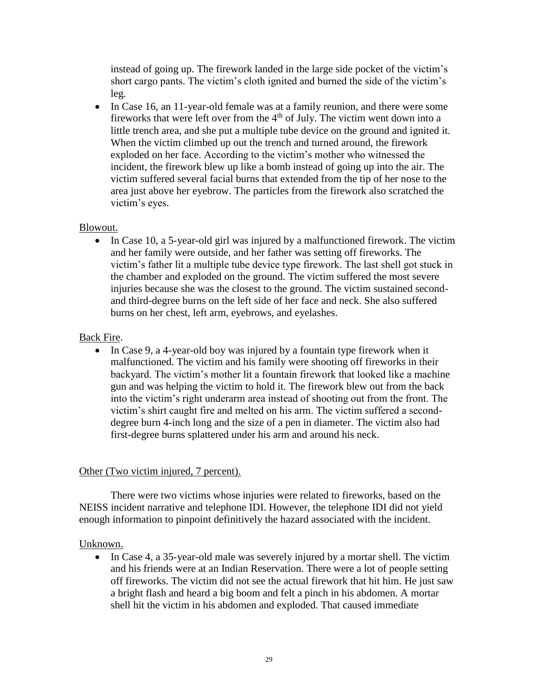instead of going up. The firework landed in the large side pocket of the victim's short cargo pants. The victim's cloth ignited and burned the side of the victim's leg.

• In Case 16, an 11-year-old female was at a family reunion, and there were some fireworks that were left over from the 4th of July. The victim went down into a little trench area, and she put a multiple tube device on the ground and ignited it. When the victim climbed up out the trench and turned around, the firework exploded on her face. According to the victim's mother who witnessed the incident, the firework blew up like a bomb instead of going up into the air. The victim suffered several facial burns that extended from the tip of her nose to the area just above her eyebrow. The particles from the firework also scratched the victim's eyes.

## Blowout.

• In Case 10, a 5-year-old girl was injured by a malfunctioned firework. The victim and her family were outside, and her father was setting off fireworks. The victim's father lit a multiple tube device type firework. The last shell got stuck in the chamber and exploded on the ground. The victim suffered the most severe injuries because she was the closest to the ground. The victim sustained secondand third-degree burns on the left side of her face and neck. She also suffered burns on her chest, left arm, eyebrows, and eyelashes.

## Back Fire.

• In Case 9, a 4-year-old boy was injured by a fountain type firework when it malfunctioned. The victim and his family were shooting off fireworks in their backyard. The victim's mother lit a fountain firework that looked like a machine gun and was helping the victim to hold it. The firework blew out from the back into the victim's right underarm area instead of shooting out from the front. The victim's shirt caught fire and melted on his arm. The victim suffered a seconddegree burn 4-inch long and the size of a pen in diameter. The victim also had first-degree burns splattered under his arm and around his neck.

## Other (Two victim injured, 7 percent).

There were two victims whose injuries were related to fireworks, based on the NEISS incident narrative and telephone IDI. However, the telephone IDI did not yield enough information to pinpoint definitively the hazard associated with the incident.

### Unknown.

• In Case 4, a 35-year-old male was severely injured by a mortar shell. The victim and his friends were at an Indian Reservation. There were a lot of people setting off fireworks. The victim did not see the actual firework that hit him. He just saw a bright flash and heard a big boom and felt a pinch in his abdomen. A mortar shell hit the victim in his abdomen and exploded. That caused immediate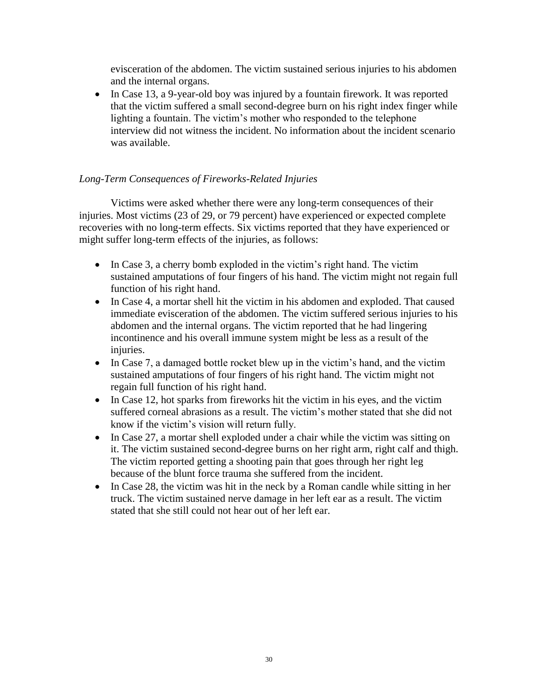evisceration of the abdomen. The victim sustained serious injuries to his abdomen and the internal organs.

• In Case 13, a 9-year-old boy was injured by a fountain firework. It was reported that the victim suffered a small second-degree burn on his right index finger while lighting a fountain. The victim's mother who responded to the telephone interview did not witness the incident. No information about the incident scenario was available.

## *Long-Term Consequences of Fireworks-Related Injuries*

Victims were asked whether there were any long-term consequences of their injuries. Most victims (23 of 29, or 79 percent) have experienced or expected complete recoveries with no long-term effects. Six victims reported that they have experienced or might suffer long-term effects of the injuries, as follows:

- In Case 3, a cherry bomb exploded in the victim's right hand. The victim sustained amputations of four fingers of his hand. The victim might not regain full function of his right hand.
- In Case 4, a mortar shell hit the victim in his abdomen and exploded. That caused immediate evisceration of the abdomen. The victim suffered serious injuries to his abdomen and the internal organs. The victim reported that he had lingering incontinence and his overall immune system might be less as a result of the injuries.
- In Case 7, a damaged bottle rocket blew up in the victim's hand, and the victim sustained amputations of four fingers of his right hand. The victim might not regain full function of his right hand.
- In Case 12, hot sparks from fireworks hit the victim in his eyes, and the victim suffered corneal abrasions as a result. The victim's mother stated that she did not know if the victim's vision will return fully.
- In Case 27, a mortar shell exploded under a chair while the victim was sitting on it. The victim sustained second-degree burns on her right arm, right calf and thigh. The victim reported getting a shooting pain that goes through her right leg because of the blunt force trauma she suffered from the incident.
- In Case 28, the victim was hit in the neck by a Roman candle while sitting in her truck. The victim sustained nerve damage in her left ear as a result. The victim stated that she still could not hear out of her left ear.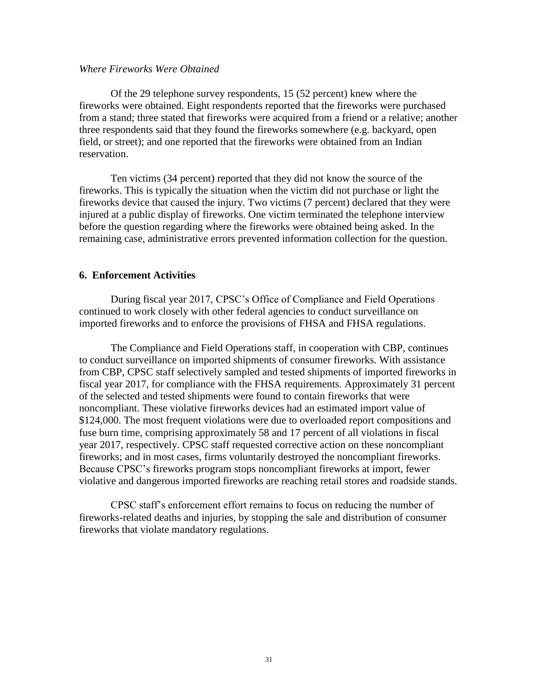### *Where Fireworks Were Obtained*

Of the 29 telephone survey respondents, 15 (52 percent) knew where the fireworks were obtained. Eight respondents reported that the fireworks were purchased from a stand; three stated that fireworks were acquired from a friend or a relative; another three respondents said that they found the fireworks somewhere (e.g. backyard, open field, or street); and one reported that the fireworks were obtained from an Indian reservation.

Ten victims (34 percent) reported that they did not know the source of the fireworks. This is typically the situation when the victim did not purchase or light the fireworks device that caused the injury. Two victims (7 percent) declared that they were injured at a public display of fireworks. One victim terminated the telephone interview before the question regarding where the fireworks were obtained being asked. In the remaining case, administrative errors prevented information collection for the question.

#### **6. Enforcement Activities**

During fiscal year 2017, CPSC's Office of Compliance and Field Operations continued to work closely with other federal agencies to conduct surveillance on imported fireworks and to enforce the provisions of FHSA and FHSA regulations.

The Compliance and Field Operations staff, in cooperation with CBP, continues to conduct surveillance on imported shipments of consumer fireworks. With assistance from CBP, CPSC staff selectively sampled and tested shipments of imported fireworks in fiscal year 2017, for compliance with the FHSA requirements. Approximately 31 percent of the selected and tested shipments were found to contain fireworks that were noncompliant. These violative fireworks devices had an estimated import value of \$124,000. The most frequent violations were due to overloaded report compositions and fuse burn time, comprising approximately 58 and 17 percent of all violations in fiscal year 2017, respectively. CPSC staff requested corrective action on these noncompliant fireworks; and in most cases, firms voluntarily destroyed the noncompliant fireworks. Because CPSC's fireworks program stops noncompliant fireworks at import, fewer violative and dangerous imported fireworks are reaching retail stores and roadside stands.

CPSC staff's enforcement effort remains to focus on reducing the number of fireworks-related deaths and injuries, by stopping the sale and distribution of consumer fireworks that violate mandatory regulations.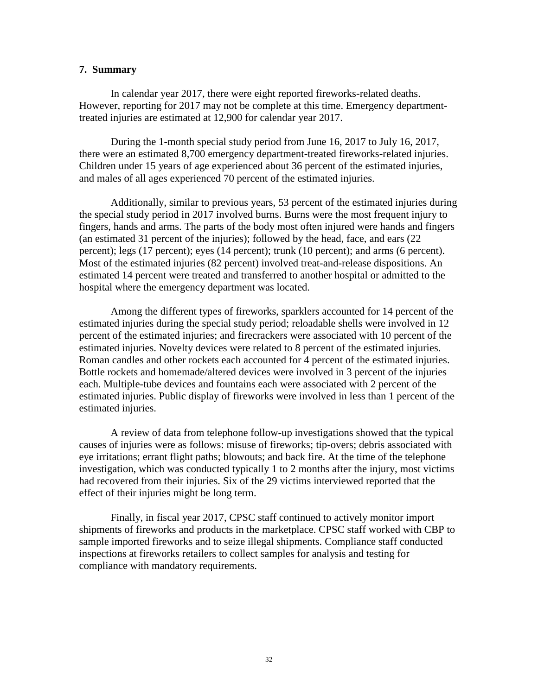#### **7. Summary**

In calendar year 2017, there were eight reported fireworks-related deaths. However, reporting for 2017 may not be complete at this time. Emergency departmenttreated injuries are estimated at 12,900 for calendar year 2017.

During the 1-month special study period from June 16, 2017 to July 16, 2017, there were an estimated 8,700 emergency department-treated fireworks-related injuries. Children under 15 years of age experienced about 36 percent of the estimated injuries, and males of all ages experienced 70 percent of the estimated injuries.

Additionally, similar to previous years, 53 percent of the estimated injuries during the special study period in 2017 involved burns. Burns were the most frequent injury to fingers, hands and arms. The parts of the body most often injured were hands and fingers (an estimated 31 percent of the injuries); followed by the head, face, and ears (22 percent); legs (17 percent); eyes (14 percent); trunk (10 percent); and arms (6 percent). Most of the estimated injuries (82 percent) involved treat-and-release dispositions. An estimated 14 percent were treated and transferred to another hospital or admitted to the hospital where the emergency department was located.

Among the different types of fireworks, sparklers accounted for 14 percent of the estimated injuries during the special study period; reloadable shells were involved in 12 percent of the estimated injuries; and firecrackers were associated with 10 percent of the estimated injuries. Novelty devices were related to 8 percent of the estimated injuries. Roman candles and other rockets each accounted for 4 percent of the estimated injuries. Bottle rockets and homemade/altered devices were involved in 3 percent of the injuries each. Multiple-tube devices and fountains each were associated with 2 percent of the estimated injuries. Public display of fireworks were involved in less than 1 percent of the estimated injuries.

A review of data from telephone follow-up investigations showed that the typical causes of injuries were as follows: misuse of fireworks; tip-overs; debris associated with eye irritations; errant flight paths; blowouts; and back fire. At the time of the telephone investigation, which was conducted typically 1 to 2 months after the injury, most victims had recovered from their injuries. Six of the 29 victims interviewed reported that the effect of their injuries might be long term.

Finally, in fiscal year 2017, CPSC staff continued to actively monitor import shipments of fireworks and products in the marketplace. CPSC staff worked with CBP to sample imported fireworks and to seize illegal shipments. Compliance staff conducted inspections at fireworks retailers to collect samples for analysis and testing for compliance with mandatory requirements.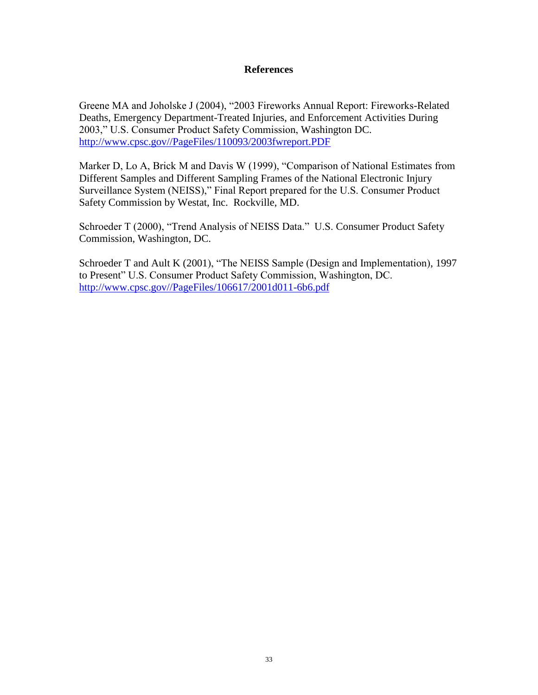### **References**

Greene MA and Joholske J (2004), "2003 Fireworks Annual Report: Fireworks-Related Deaths, Emergency Department-Treated Injuries, and Enforcement Activities During 2003," U.S. Consumer Product Safety Commission, Washington DC. [http://www.cpsc.gov//PageFiles/110093/2003fwreport.PDF](http://www.cpsc.gov/PageFiles/110093/2003fwreport.PDF)

Marker D, Lo A, Brick M and Davis W (1999), "Comparison of National Estimates from Different Samples and Different Sampling Frames of the National Electronic Injury Surveillance System (NEISS)," Final Report prepared for the U.S. Consumer Product Safety Commission by Westat, Inc. Rockville, MD.

Schroeder T (2000), "Trend Analysis of NEISS Data." U.S. Consumer Product Safety Commission, Washington, DC.

Schroeder T and Ault K (2001), "The NEISS Sample (Design and Implementation), 1997 to Present" U.S. Consumer Product Safety Commission, Washington, DC. [http://www.cpsc.gov//PageFiles/106617/2001d011-6b6.pdf](http://www.cpsc.gov/PageFiles/106617/2001d011-6b6.pdf)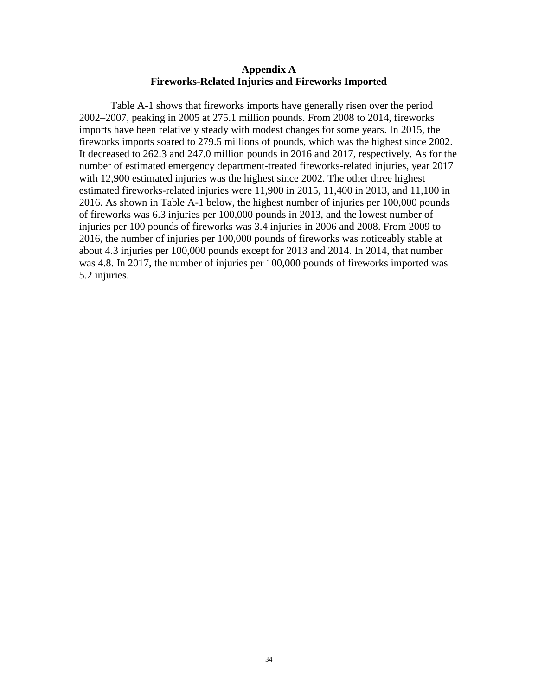#### **Appendix A Fireworks-Related Injuries and Fireworks Imported**

Table A-1 shows that fireworks imports have generally risen over the period 2002–2007, peaking in 2005 at 275.1 million pounds. From 2008 to 2014, fireworks imports have been relatively steady with modest changes for some years. In 2015, the fireworks imports soared to 279.5 millions of pounds, which was the highest since 2002. It decreased to 262.3 and 247.0 million pounds in 2016 and 2017, respectively. As for the number of estimated emergency department-treated fireworks-related injuries, year 2017 with 12,900 estimated injuries was the highest since 2002. The other three highest estimated fireworks-related injuries were 11,900 in 2015, 11,400 in 2013, and 11,100 in 2016. As shown in Table A-1 below, the highest number of injuries per 100,000 pounds of fireworks was 6.3 injuries per 100,000 pounds in 2013, and the lowest number of injuries per 100 pounds of fireworks was 3.4 injuries in 2006 and 2008. From 2009 to 2016, the number of injuries per 100,000 pounds of fireworks was noticeably stable at about 4.3 injuries per 100,000 pounds except for 2013 and 2014. In 2014, that number was 4.8. In 2017, the number of injuries per 100,000 pounds of fireworks imported was 5.2 injuries.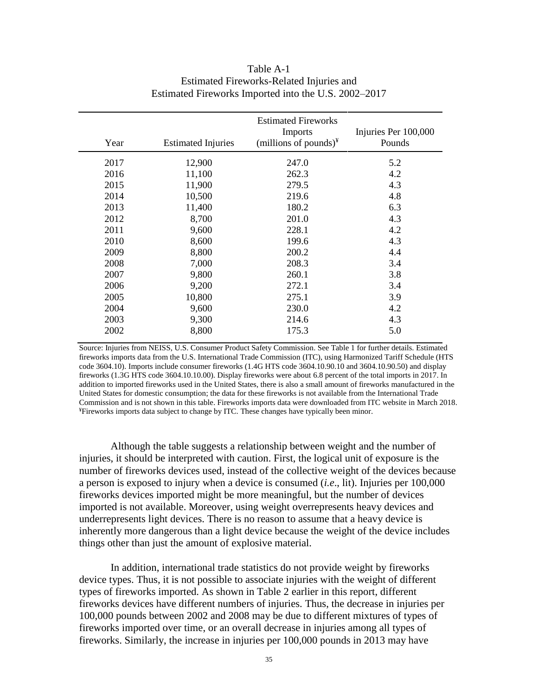| Year | <b>Estimated Injuries</b> | <b>Estimated Fireworks</b><br>Imports<br>(millions of pounds) $\frac{y}{x}$ | Injuries Per 100,000<br>Pounds |
|------|---------------------------|-----------------------------------------------------------------------------|--------------------------------|
| 2017 | 12,900                    | 247.0                                                                       | 5.2                            |
| 2016 | 11,100                    | 262.3                                                                       | 4.2                            |
| 2015 | 11,900                    | 279.5                                                                       | 4.3                            |
| 2014 | 10,500                    | 219.6                                                                       | 4.8                            |
| 2013 | 11,400                    | 180.2                                                                       | 6.3                            |
| 2012 | 8,700                     | 201.0                                                                       | 4.3                            |
| 2011 | 9,600                     | 228.1                                                                       | 4.2                            |
| 2010 | 8,600                     | 199.6                                                                       | 4.3                            |
| 2009 | 8,800                     | 200.2                                                                       | 4.4                            |
| 2008 | 7,000                     | 208.3                                                                       | 3.4                            |
| 2007 | 9,800                     | 260.1                                                                       | 3.8                            |
| 2006 | 9,200                     | 272.1                                                                       | 3.4                            |
| 2005 | 10,800                    | 275.1                                                                       | 3.9                            |
| 2004 | 9,600                     | 230.0                                                                       | 4.2                            |
| 2003 | 9,300                     | 214.6                                                                       | 4.3                            |
| 2002 | 8,800                     | 175.3                                                                       | 5.0                            |

### Table A-1 Estimated Fireworks-Related Injuries and Estimated Fireworks Imported into the U.S. 2002–2017

Source: Injuries from NEISS, U.S. Consumer Product Safety Commission. See Table 1 for further details. Estimated fireworks imports data from the U.S. International Trade Commission (ITC), using Harmonized Tariff Schedule (HTS code 3604.10). Imports include consumer fireworks (1.4G HTS code 3604.10.90.10 and 3604.10.90.50) and display fireworks (1.3G HTS code 3604.10.10.00). Display fireworks were about 6.8 percent of the total imports in 2017. In addition to imported fireworks used in the United States, there is also a small amount of fireworks manufactured in the United States for domestic consumption; the data for these fireworks is not available from the International Trade Commission and is not shown in this table. Fireworks imports data were downloaded from ITC website in March 2018. ¥Fireworks imports data subject to change by ITC. These changes have typically been minor.

Although the table suggests a relationship between weight and the number of injuries, it should be interpreted with caution. First, the logical unit of exposure is the number of fireworks devices used, instead of the collective weight of the devices because a person is exposed to injury when a device is consumed (*i.e*., lit). Injuries per 100,000 fireworks devices imported might be more meaningful, but the number of devices imported is not available. Moreover, using weight overrepresents heavy devices and underrepresents light devices. There is no reason to assume that a heavy device is inherently more dangerous than a light device because the weight of the device includes things other than just the amount of explosive material.

In addition, international trade statistics do not provide weight by fireworks device types. Thus, it is not possible to associate injuries with the weight of different types of fireworks imported. As shown in Table 2 earlier in this report, different fireworks devices have different numbers of injuries. Thus, the decrease in injuries per 100,000 pounds between 2002 and 2008 may be due to different mixtures of types of fireworks imported over time, or an overall decrease in injuries among all types of fireworks. Similarly, the increase in injuries per 100,000 pounds in 2013 may have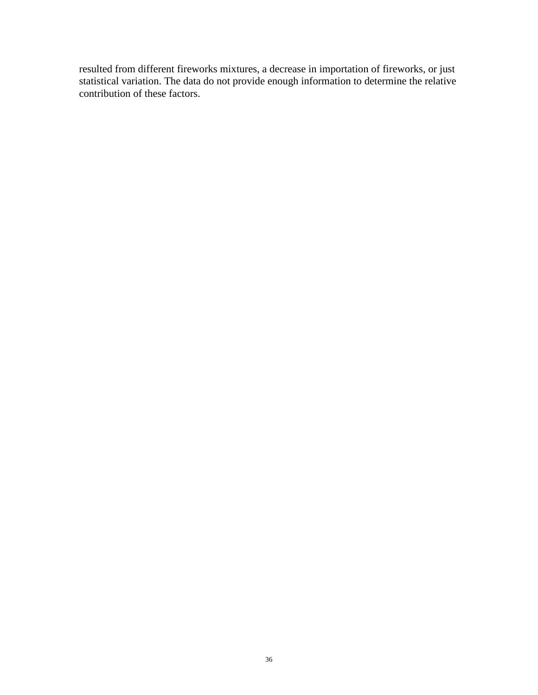resulted from different fireworks mixtures, a decrease in importation of fireworks, or just statistical variation. The data do not provide enough information to determine the relative contribution of these factors.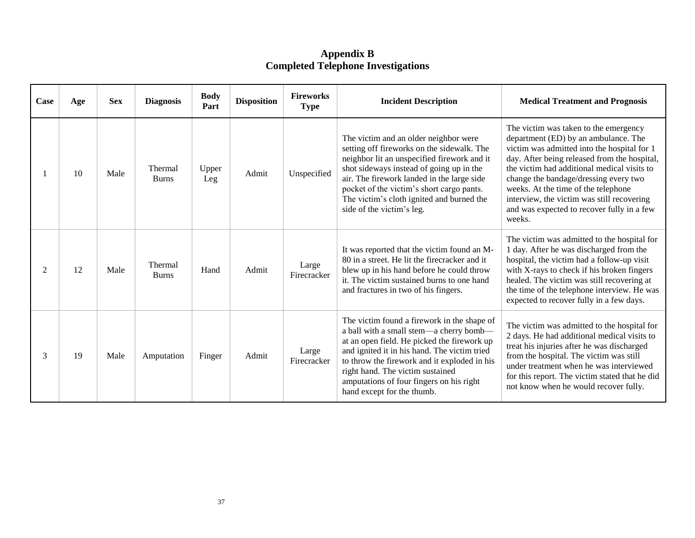**Appendix B Completed Telephone Investigations**

| Case | Age | <b>Sex</b> | <b>Diagnosis</b>        | <b>Body</b><br>Part | <b>Disposition</b> | <b>Fireworks</b><br><b>Type</b> | <b>Incident Description</b>                                                                                                                                                                                                                                                                                                                         | <b>Medical Treatment and Prognosis</b>                                                                                                                                                                                                                                                                                                                                                                            |
|------|-----|------------|-------------------------|---------------------|--------------------|---------------------------------|-----------------------------------------------------------------------------------------------------------------------------------------------------------------------------------------------------------------------------------------------------------------------------------------------------------------------------------------------------|-------------------------------------------------------------------------------------------------------------------------------------------------------------------------------------------------------------------------------------------------------------------------------------------------------------------------------------------------------------------------------------------------------------------|
|      | 10  | Male       | Thermal<br><b>Burns</b> | Upper<br>Leg        | Admit              | Unspecified                     | The victim and an older neighbor were<br>setting off fireworks on the sidewalk. The<br>neighbor lit an unspecified firework and it<br>shot sideways instead of going up in the<br>air. The firework landed in the large side<br>pocket of the victim's short cargo pants.<br>The victim's cloth ignited and burned the<br>side of the victim's leg. | The victim was taken to the emergency<br>department (ED) by an ambulance. The<br>victim was admitted into the hospital for 1<br>day. After being released from the hospital,<br>the victim had additional medical visits to<br>change the bandage/dressing every two<br>weeks. At the time of the telephone<br>interview, the victim was still recovering<br>and was expected to recover fully in a few<br>weeks. |
| 2    | 12  | Male       | Thermal<br><b>Burns</b> | Hand                | Admit              | Large<br>Firecracker            | It was reported that the victim found an M-<br>80 in a street. He lit the firecracker and it<br>blew up in his hand before he could throw<br>it. The victim sustained burns to one hand<br>and fractures in two of his fingers.                                                                                                                     | The victim was admitted to the hospital for<br>1 day. After he was discharged from the<br>hospital, the victim had a follow-up visit<br>with X-rays to check if his broken fingers<br>healed. The victim was still recovering at<br>the time of the telephone interview. He was<br>expected to recover fully in a few days.                                                                                       |
| 3    | 19  | Male       | Amputation              | Finger              | Admit              | Large<br>Firecracker            | The victim found a firework in the shape of<br>a ball with a small stem-a cherry bomb-<br>at an open field. He picked the firework up<br>and ignited it in his hand. The victim tried<br>to throw the firework and it exploded in his<br>right hand. The victim sustained<br>amputations of four fingers on his right<br>hand except for the thumb. | The victim was admitted to the hospital for<br>2 days. He had additional medical visits to<br>treat his injuries after he was discharged<br>from the hospital. The victim was still<br>under treatment when he was interviewed<br>for this report. The victim stated that he did<br>not know when he would recover fully.                                                                                         |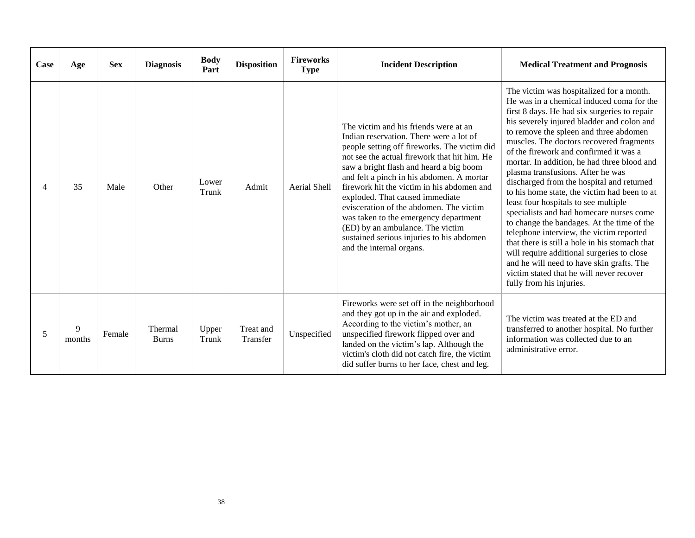| Case | Age         | <b>Sex</b> | <b>Diagnosis</b>        | <b>Body</b><br>Part | <b>Disposition</b>    | <b>Fireworks</b><br><b>Type</b> | <b>Incident Description</b>                                                                                                                                                                                                                                                                                                                                                                                                                                                                                                                                | <b>Medical Treatment and Prognosis</b>                                                                                                                                                                                                                                                                                                                                                                                                                                                                                                                                                                                                                                                                                                                                                                                                                                                                  |
|------|-------------|------------|-------------------------|---------------------|-----------------------|---------------------------------|------------------------------------------------------------------------------------------------------------------------------------------------------------------------------------------------------------------------------------------------------------------------------------------------------------------------------------------------------------------------------------------------------------------------------------------------------------------------------------------------------------------------------------------------------------|---------------------------------------------------------------------------------------------------------------------------------------------------------------------------------------------------------------------------------------------------------------------------------------------------------------------------------------------------------------------------------------------------------------------------------------------------------------------------------------------------------------------------------------------------------------------------------------------------------------------------------------------------------------------------------------------------------------------------------------------------------------------------------------------------------------------------------------------------------------------------------------------------------|
|      | 35          | Male       | Other                   | Lower<br>Trunk      | Admit                 | Aerial Shell                    | The victim and his friends were at an<br>Indian reservation. There were a lot of<br>people setting off fireworks. The victim did<br>not see the actual firework that hit him. He<br>saw a bright flash and heard a big boom<br>and felt a pinch in his abdomen. A mortar<br>firework hit the victim in his abdomen and<br>exploded. That caused immediate<br>evisceration of the abdomen. The victim<br>was taken to the emergency department<br>(ED) by an ambulance. The victim<br>sustained serious injuries to his abdomen<br>and the internal organs. | The victim was hospitalized for a month.<br>He was in a chemical induced coma for the<br>first 8 days. He had six surgeries to repair<br>his severely injured bladder and colon and<br>to remove the spleen and three abdomen<br>muscles. The doctors recovered fragments<br>of the firework and confirmed it was a<br>mortar. In addition, he had three blood and<br>plasma transfusions. After he was<br>discharged from the hospital and returned<br>to his home state, the victim had been to at<br>least four hospitals to see multiple<br>specialists and had homecare nurses come<br>to change the bandages. At the time of the<br>telephone interview, the victim reported<br>that there is still a hole in his stomach that<br>will require additional surgeries to close<br>and he will need to have skin grafts. The<br>victim stated that he will never recover<br>fully from his injuries. |
| 5    | 9<br>months | Female     | Thermal<br><b>Burns</b> | Upper<br>Trunk      | Treat and<br>Transfer | Unspecified                     | Fireworks were set off in the neighborhood<br>and they got up in the air and exploded.<br>According to the victim's mother, an<br>unspecified firework flipped over and<br>landed on the victim's lap. Although the<br>victim's cloth did not catch fire, the victim<br>did suffer burns to her face, chest and leg.                                                                                                                                                                                                                                       | The victim was treated at the ED and<br>transferred to another hospital. No further<br>information was collected due to an<br>administrative error.                                                                                                                                                                                                                                                                                                                                                                                                                                                                                                                                                                                                                                                                                                                                                     |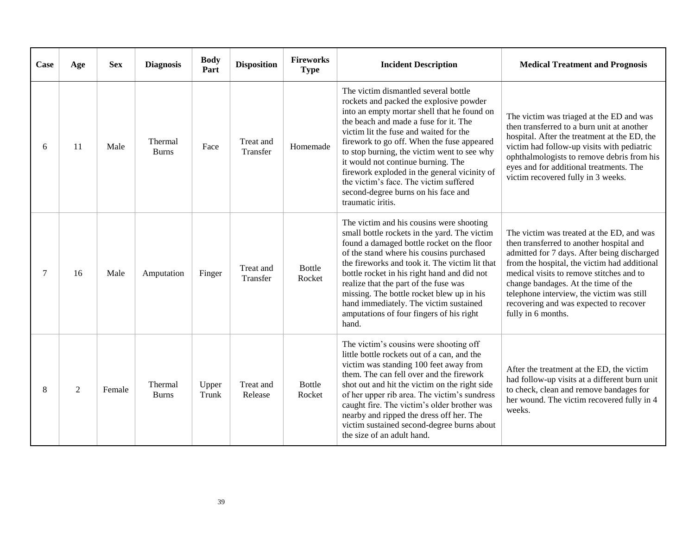| Case | Age | <b>Sex</b> | <b>Diagnosis</b>        | <b>Body</b><br>Part | <b>Disposition</b>    | <b>Fireworks</b><br><b>Type</b> | <b>Incident Description</b>                                                                                                                                                                                                                                                                                                                                                                                                                                                                                | <b>Medical Treatment and Prognosis</b>                                                                                                                                                                                                                                                                                                                                               |
|------|-----|------------|-------------------------|---------------------|-----------------------|---------------------------------|------------------------------------------------------------------------------------------------------------------------------------------------------------------------------------------------------------------------------------------------------------------------------------------------------------------------------------------------------------------------------------------------------------------------------------------------------------------------------------------------------------|--------------------------------------------------------------------------------------------------------------------------------------------------------------------------------------------------------------------------------------------------------------------------------------------------------------------------------------------------------------------------------------|
| 6    | 11  | Male       | Thermal<br><b>Burns</b> | Face                | Treat and<br>Transfer | Homemade                        | The victim dismantled several bottle<br>rockets and packed the explosive powder<br>into an empty mortar shell that he found on<br>the beach and made a fuse for it. The<br>victim lit the fuse and waited for the<br>firework to go off. When the fuse appeared<br>to stop burning, the victim went to see why<br>it would not continue burning. The<br>firework exploded in the general vicinity of<br>the victim's face. The victim suffered<br>second-degree burns on his face and<br>traumatic iritis. | The victim was triaged at the ED and was<br>then transferred to a burn unit at another<br>hospital. After the treatment at the ED, the<br>victim had follow-up visits with pediatric<br>ophthalmologists to remove debris from his<br>eyes and for additional treatments. The<br>victim recovered fully in 3 weeks.                                                                  |
| 7    | 16  | Male       | Amputation              | Finger              | Treat and<br>Transfer | Bottle<br>Rocket                | The victim and his cousins were shooting<br>small bottle rockets in the yard. The victim<br>found a damaged bottle rocket on the floor<br>of the stand where his cousins purchased<br>the fireworks and took it. The victim lit that<br>bottle rocket in his right hand and did not<br>realize that the part of the fuse was<br>missing. The bottle rocket blew up in his<br>hand immediately. The victim sustained<br>amputations of four fingers of his right<br>hand.                                   | The victim was treated at the ED, and was<br>then transferred to another hospital and<br>admitted for 7 days. After being discharged<br>from the hospital, the victim had additional<br>medical visits to remove stitches and to<br>change bandages. At the time of the<br>telephone interview, the victim was still<br>recovering and was expected to recover<br>fully in 6 months. |
| 8    | 2   | Female     | Thermal<br><b>Burns</b> | Upper<br>Trunk      | Treat and<br>Release  | Bottle<br>Rocket                | The victim's cousins were shooting off<br>little bottle rockets out of a can, and the<br>victim was standing 100 feet away from<br>them. The can fell over and the firework<br>shot out and hit the victim on the right side<br>of her upper rib area. The victim's sundress<br>caught fire. The victim's older brother was<br>nearby and ripped the dress off her. The<br>victim sustained second-degree burns about<br>the size of an adult hand.                                                        | After the treatment at the ED, the victim<br>had follow-up visits at a different burn unit<br>to check, clean and remove bandages for<br>her wound. The victim recovered fully in 4<br>weeks.                                                                                                                                                                                        |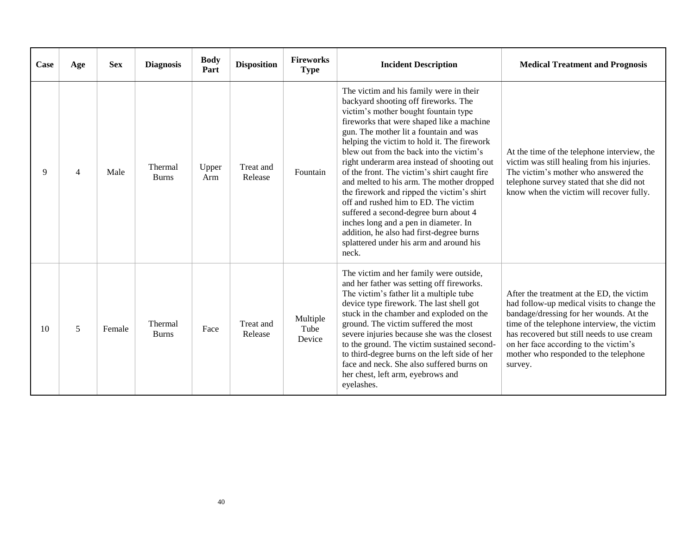| Case | Age            | <b>Sex</b> | <b>Diagnosis</b>               | <b>Body</b><br>Part | <b>Disposition</b>   | <b>Fireworks</b><br><b>Type</b> | <b>Incident Description</b>                                                                                                                                                                                                                                                                                                                                                                                                                                                                                                                                                                                                                                                                                                   | <b>Medical Treatment and Prognosis</b>                                                                                                                                                                                                                                                                                       |
|------|----------------|------------|--------------------------------|---------------------|----------------------|---------------------------------|-------------------------------------------------------------------------------------------------------------------------------------------------------------------------------------------------------------------------------------------------------------------------------------------------------------------------------------------------------------------------------------------------------------------------------------------------------------------------------------------------------------------------------------------------------------------------------------------------------------------------------------------------------------------------------------------------------------------------------|------------------------------------------------------------------------------------------------------------------------------------------------------------------------------------------------------------------------------------------------------------------------------------------------------------------------------|
| 9    | $\overline{4}$ | Male       | <b>Thermal</b><br><b>Burns</b> | Upper<br>Arm        | Treat and<br>Release | Fountain                        | The victim and his family were in their<br>backyard shooting off fireworks. The<br>victim's mother bought fountain type<br>fireworks that were shaped like a machine<br>gun. The mother lit a fountain and was<br>helping the victim to hold it. The firework<br>blew out from the back into the victim's<br>right underarm area instead of shooting out<br>of the front. The victim's shirt caught fire<br>and melted to his arm. The mother dropped<br>the firework and ripped the victim's shirt<br>off and rushed him to ED. The victim<br>suffered a second-degree burn about 4<br>inches long and a pen in diameter. In<br>addition, he also had first-degree burns<br>splattered under his arm and around his<br>neck. | At the time of the telephone interview, the<br>victim was still healing from his injuries.<br>The victim's mother who answered the<br>telephone survey stated that she did not<br>know when the victim will recover fully.                                                                                                   |
| 10   | 5              | Female     | Thermal<br><b>Burns</b>        | Face                | Treat and<br>Release | Multiple<br>Tube<br>Device      | The victim and her family were outside,<br>and her father was setting off fireworks.<br>The victim's father lit a multiple tube<br>device type firework. The last shell got<br>stuck in the chamber and exploded on the<br>ground. The victim suffered the most<br>severe injuries because she was the closest<br>to the ground. The victim sustained second-<br>to third-degree burns on the left side of her<br>face and neck. She also suffered burns on<br>her chest, left arm, eyebrows and<br>eyelashes.                                                                                                                                                                                                                | After the treatment at the ED, the victim<br>had follow-up medical visits to change the<br>bandage/dressing for her wounds. At the<br>time of the telephone interview, the victim<br>has recovered but still needs to use cream<br>on her face according to the victim's<br>mother who responded to the telephone<br>survey. |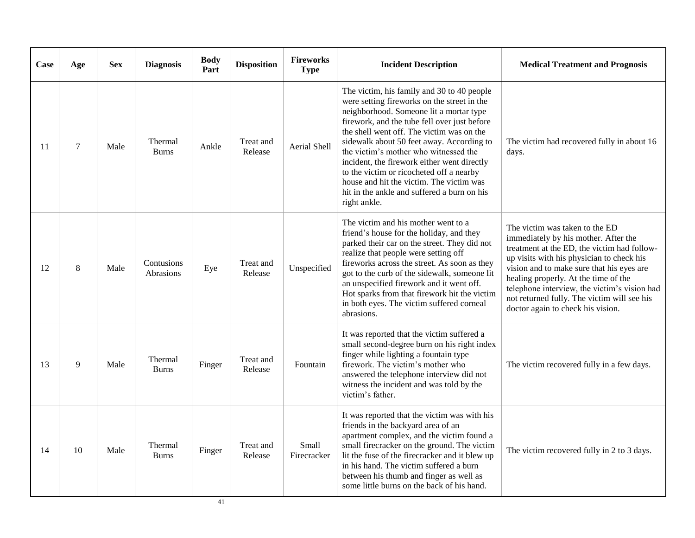| Case | Age            | <b>Sex</b> | <b>Diagnosis</b>        | <b>Body</b><br>Part | <b>Disposition</b>   | <b>Fireworks</b><br><b>Type</b> | <b>Incident Description</b>                                                                                                                                                                                                                                                                                                                                                                                                                                                                                                   | <b>Medical Treatment and Prognosis</b>                                                                                                                                                                                                                                                                                                                                                      |
|------|----------------|------------|-------------------------|---------------------|----------------------|---------------------------------|-------------------------------------------------------------------------------------------------------------------------------------------------------------------------------------------------------------------------------------------------------------------------------------------------------------------------------------------------------------------------------------------------------------------------------------------------------------------------------------------------------------------------------|---------------------------------------------------------------------------------------------------------------------------------------------------------------------------------------------------------------------------------------------------------------------------------------------------------------------------------------------------------------------------------------------|
| 11   | $\overline{7}$ | Male       | Thermal<br><b>Burns</b> | Ankle               | Treat and<br>Release | Aerial Shell                    | The victim, his family and 30 to 40 people<br>were setting fireworks on the street in the<br>neighborhood. Someone lit a mortar type<br>firework, and the tube fell over just before<br>the shell went off. The victim was on the<br>sidewalk about 50 feet away. According to<br>the victim's mother who witnessed the<br>incident, the firework either went directly<br>to the victim or ricocheted off a nearby<br>house and hit the victim. The victim was<br>hit in the ankle and suffered a burn on his<br>right ankle. | The victim had recovered fully in about 16<br>days.                                                                                                                                                                                                                                                                                                                                         |
| 12   | 8              | Male       | Contusions<br>Abrasions | Eye                 | Treat and<br>Release | Unspecified                     | The victim and his mother went to a<br>friend's house for the holiday, and they<br>parked their car on the street. They did not<br>realize that people were setting off<br>fireworks across the street. As soon as they<br>got to the curb of the sidewalk, someone lit<br>an unspecified firework and it went off.<br>Hot sparks from that firework hit the victim<br>in both eyes. The victim suffered corneal<br>abrasions.                                                                                                | The victim was taken to the ED<br>immediately by his mother. After the<br>treatment at the ED, the victim had follow-<br>up visits with his physician to check his<br>vision and to make sure that his eyes are<br>healing properly. At the time of the<br>telephone interview, the victim's vision had<br>not returned fully. The victim will see his<br>doctor again to check his vision. |
| 13   | $\mathbf{Q}$   | Male       | Thermal<br><b>Burns</b> | Finger              | Treat and<br>Release | Fountain                        | It was reported that the victim suffered a<br>small second-degree burn on his right index<br>finger while lighting a fountain type<br>firework. The victim's mother who<br>answered the telephone interview did not<br>witness the incident and was told by the<br>victim's father.                                                                                                                                                                                                                                           | The victim recovered fully in a few days.                                                                                                                                                                                                                                                                                                                                                   |
| 14   | 10             | Male       | Thermal<br><b>Burns</b> | Finger              | Treat and<br>Release | Small<br>Firecracker            | It was reported that the victim was with his<br>friends in the backyard area of an<br>apartment complex, and the victim found a<br>small firecracker on the ground. The victim<br>lit the fuse of the firecracker and it blew up<br>in his hand. The victim suffered a burn<br>between his thumb and finger as well as<br>some little burns on the back of his hand.                                                                                                                                                          | The victim recovered fully in 2 to 3 days.                                                                                                                                                                                                                                                                                                                                                  |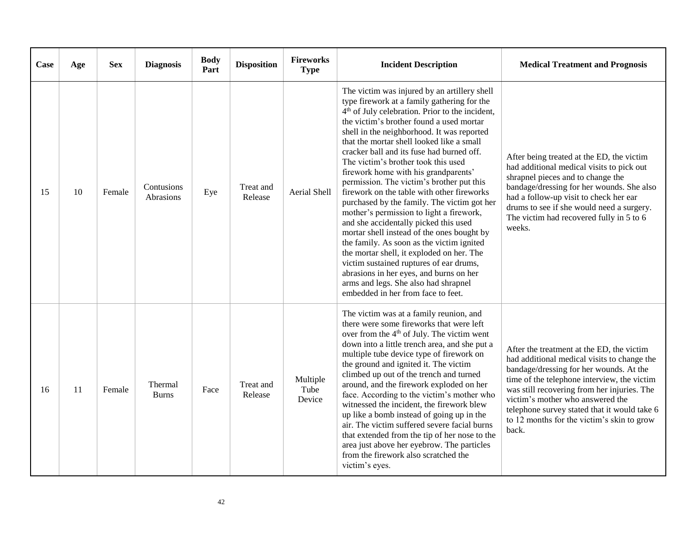| Case | Age | <b>Sex</b> | <b>Diagnosis</b>        | <b>Body</b><br>Part | <b>Disposition</b>   | <b>Fireworks</b><br><b>Type</b> | <b>Incident Description</b>                                                                                                                                                                                                                                                                                                                                                                                                                                                                                                                                                                                                                                                                                                                                                                                                                                                                                                                                              | <b>Medical Treatment and Prognosis</b>                                                                                                                                                                                                                                                                                                                                       |
|------|-----|------------|-------------------------|---------------------|----------------------|---------------------------------|--------------------------------------------------------------------------------------------------------------------------------------------------------------------------------------------------------------------------------------------------------------------------------------------------------------------------------------------------------------------------------------------------------------------------------------------------------------------------------------------------------------------------------------------------------------------------------------------------------------------------------------------------------------------------------------------------------------------------------------------------------------------------------------------------------------------------------------------------------------------------------------------------------------------------------------------------------------------------|------------------------------------------------------------------------------------------------------------------------------------------------------------------------------------------------------------------------------------------------------------------------------------------------------------------------------------------------------------------------------|
| 15   | 10  | Female     | Contusions<br>Abrasions | Eye                 | Treat and<br>Release | Aerial Shell                    | The victim was injured by an artillery shell<br>type firework at a family gathering for the<br>4 <sup>th</sup> of July celebration. Prior to the incident,<br>the victim's brother found a used mortar<br>shell in the neighborhood. It was reported<br>that the mortar shell looked like a small<br>cracker ball and its fuse had burned off.<br>The victim's brother took this used<br>firework home with his grandparents'<br>permission. The victim's brother put this<br>firework on the table with other fireworks<br>purchased by the family. The victim got her<br>mother's permission to light a firework,<br>and she accidentally picked this used<br>mortar shell instead of the ones bought by<br>the family. As soon as the victim ignited<br>the mortar shell, it exploded on her. The<br>victim sustained ruptures of ear drums,<br>abrasions in her eyes, and burns on her<br>arms and legs. She also had shrapnel<br>embedded in her from face to feet. | After being treated at the ED, the victim<br>had additional medical visits to pick out<br>shrapnel pieces and to change the<br>bandage/dressing for her wounds. She also<br>had a follow-up visit to check her ear<br>drums to see if she would need a surgery.<br>The victim had recovered fully in 5 to 6<br>weeks.                                                        |
| 16   | 11  | Female     | Thermal<br><b>Burns</b> | Face                | Treat and<br>Release | Multiple<br>Tube<br>Device      | The victim was at a family reunion, and<br>there were some fireworks that were left<br>over from the 4 <sup>th</sup> of July. The victim went<br>down into a little trench area, and she put a<br>multiple tube device type of firework on<br>the ground and ignited it. The victim<br>climbed up out of the trench and turned<br>around, and the firework exploded on her<br>face. According to the victim's mother who<br>witnessed the incident, the firework blew<br>up like a bomb instead of going up in the<br>air. The victim suffered severe facial burns<br>that extended from the tip of her nose to the<br>area just above her eyebrow. The particles<br>from the firework also scratched the<br>victim's eyes.                                                                                                                                                                                                                                              | After the treatment at the ED, the victim<br>had additional medical visits to change the<br>bandage/dressing for her wounds. At the<br>time of the telephone interview, the victim<br>was still recovering from her injuries. The<br>victim's mother who answered the<br>telephone survey stated that it would take 6<br>to 12 months for the victim's skin to grow<br>back. |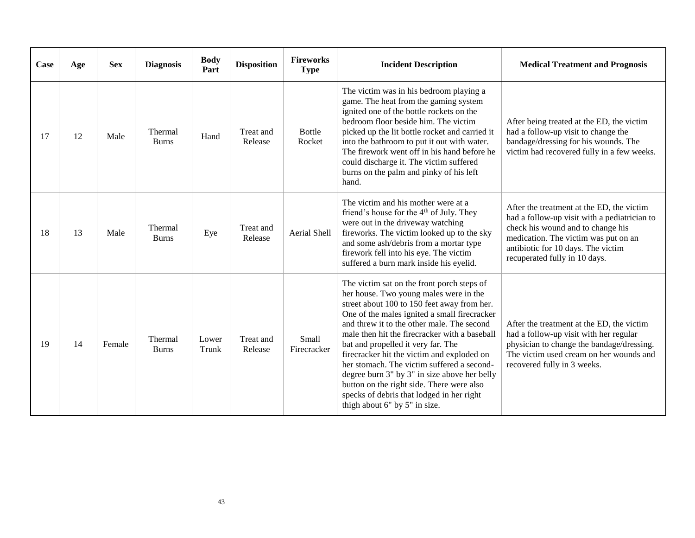| Case | Age | <b>Sex</b> | <b>Diagnosis</b>        | <b>Body</b><br>Part | <b>Disposition</b>   | <b>Fireworks</b><br><b>Type</b> | <b>Incident Description</b>                                                                                                                                                                                                                                                                                                                                                                                                                                                                                                                                                                     | <b>Medical Treatment and Prognosis</b>                                                                                                                                                                                                        |
|------|-----|------------|-------------------------|---------------------|----------------------|---------------------------------|-------------------------------------------------------------------------------------------------------------------------------------------------------------------------------------------------------------------------------------------------------------------------------------------------------------------------------------------------------------------------------------------------------------------------------------------------------------------------------------------------------------------------------------------------------------------------------------------------|-----------------------------------------------------------------------------------------------------------------------------------------------------------------------------------------------------------------------------------------------|
| 17   | 12  | Male       | Thermal<br><b>Burns</b> | Hand                | Treat and<br>Release | <b>Bottle</b><br>Rocket         | The victim was in his bedroom playing a<br>game. The heat from the gaming system<br>ignited one of the bottle rockets on the<br>bedroom floor beside him. The victim<br>picked up the lit bottle rocket and carried it<br>into the bathroom to put it out with water.<br>The firework went off in his hand before he<br>could discharge it. The victim suffered<br>burns on the palm and pinky of his left<br>hand.                                                                                                                                                                             | After being treated at the ED, the victim<br>had a follow-up visit to change the<br>bandage/dressing for his wounds. The<br>victim had recovered fully in a few weeks.                                                                        |
| 18   | 13  | Male       | Thermal<br><b>Burns</b> | Eye                 | Treat and<br>Release | Aerial Shell                    | The victim and his mother were at a<br>friend's house for the $4th$ of July. They<br>were out in the driveway watching<br>fireworks. The victim looked up to the sky<br>and some ash/debris from a mortar type<br>firework fell into his eye. The victim<br>suffered a burn mark inside his eyelid.                                                                                                                                                                                                                                                                                             | After the treatment at the ED, the victim<br>had a follow-up visit with a pediatrician to<br>check his wound and to change his<br>medication. The victim was put on an<br>antibiotic for 10 days. The victim<br>recuperated fully in 10 days. |
| 19   | 14  | Female     | Thermal<br><b>Burns</b> | Lower<br>Trunk      | Treat and<br>Release | Small<br>Firecracker            | The victim sat on the front porch steps of<br>her house. Two young males were in the<br>street about 100 to 150 feet away from her.<br>One of the males ignited a small firecracker<br>and threw it to the other male. The second<br>male then hit the firecracker with a baseball<br>bat and propelled it very far. The<br>firecracker hit the victim and exploded on<br>her stomach. The victim suffered a second-<br>degree burn 3" by 3" in size above her belly<br>button on the right side. There were also<br>specks of debris that lodged in her right<br>thigh about 6" by 5" in size. | After the treatment at the ED, the victim<br>had a follow-up visit with her regular<br>physician to change the bandage/dressing.<br>The victim used cream on her wounds and<br>recovered fully in 3 weeks.                                    |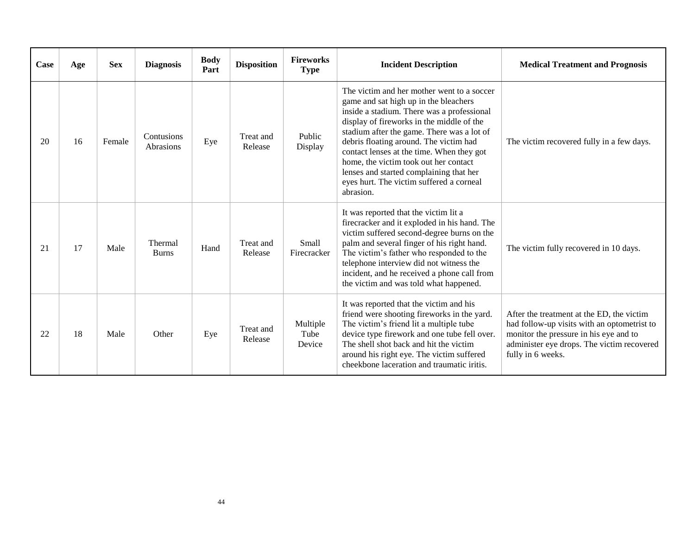| Case | Age | <b>Sex</b> | <b>Diagnosis</b>        | <b>Body</b><br>Part | <b>Disposition</b>   | <b>Fireworks</b><br><b>Type</b> | <b>Incident Description</b>                                                                                                                                                                                                                                                                                                                                                                                                                                      | <b>Medical Treatment and Prognosis</b>                                                                                                                                                                |
|------|-----|------------|-------------------------|---------------------|----------------------|---------------------------------|------------------------------------------------------------------------------------------------------------------------------------------------------------------------------------------------------------------------------------------------------------------------------------------------------------------------------------------------------------------------------------------------------------------------------------------------------------------|-------------------------------------------------------------------------------------------------------------------------------------------------------------------------------------------------------|
| 20   | 16  | Female     | Contusions<br>Abrasions | Eye                 | Treat and<br>Release | Public<br>Display               | The victim and her mother went to a soccer<br>game and sat high up in the bleachers<br>inside a stadium. There was a professional<br>display of fireworks in the middle of the<br>stadium after the game. There was a lot of<br>debris floating around. The victim had<br>contact lenses at the time. When they got<br>home, the victim took out her contact<br>lenses and started complaining that her<br>eyes hurt. The victim suffered a corneal<br>abrasion. | The victim recovered fully in a few days.                                                                                                                                                             |
| 21   | 17  | Male       | Thermal<br><b>Burns</b> | Hand                | Treat and<br>Release | <b>Small</b><br>Firecracker     | It was reported that the victim lit a<br>firecracker and it exploded in his hand. The<br>victim suffered second-degree burns on the<br>palm and several finger of his right hand.<br>The victim's father who responded to the<br>telephone interview did not witness the<br>incident, and he received a phone call from<br>the victim and was told what happened.                                                                                                | The victim fully recovered in 10 days.                                                                                                                                                                |
| 22   | 18  | Male       | Other                   | Eye                 | Treat and<br>Release | Multiple<br>Tube<br>Device      | It was reported that the victim and his<br>friend were shooting fireworks in the yard.<br>The victim's friend lit a multiple tube<br>device type firework and one tube fell over.<br>The shell shot back and hit the victim<br>around his right eye. The victim suffered<br>cheekbone laceration and traumatic iritis.                                                                                                                                           | After the treatment at the ED, the victim<br>had follow-up visits with an optometrist to<br>monitor the pressure in his eye and to<br>administer eye drops. The victim recovered<br>fully in 6 weeks. |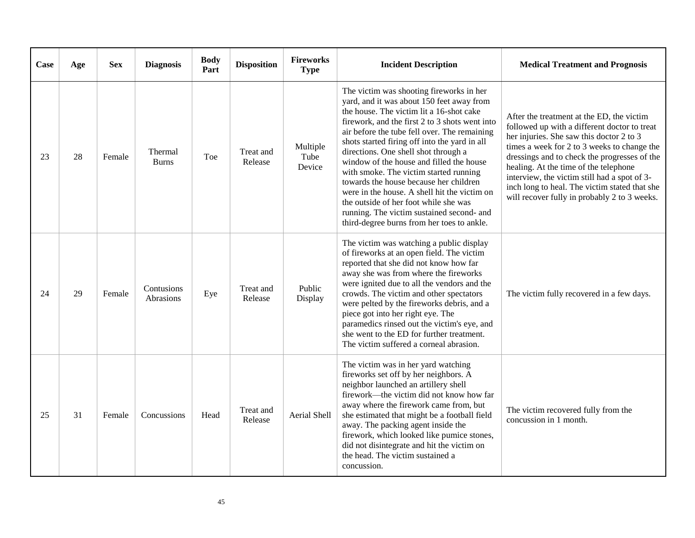| Case | Age | <b>Sex</b> | <b>Diagnosis</b>        | <b>Body</b><br>Part | <b>Disposition</b>   | <b>Fireworks</b><br><b>Type</b> | <b>Incident Description</b>                                                                                                                                                                                                                                                                                                                                                                                                                                                                                                                                                                                                                      | <b>Medical Treatment and Prognosis</b>                                                                                                                                                                                                                                                                                                                                                                                         |
|------|-----|------------|-------------------------|---------------------|----------------------|---------------------------------|--------------------------------------------------------------------------------------------------------------------------------------------------------------------------------------------------------------------------------------------------------------------------------------------------------------------------------------------------------------------------------------------------------------------------------------------------------------------------------------------------------------------------------------------------------------------------------------------------------------------------------------------------|--------------------------------------------------------------------------------------------------------------------------------------------------------------------------------------------------------------------------------------------------------------------------------------------------------------------------------------------------------------------------------------------------------------------------------|
| 23   | 28  | Female     | Thermal<br><b>Burns</b> | Toe                 | Treat and<br>Release | Multiple<br>Tube<br>Device      | The victim was shooting fireworks in her<br>yard, and it was about 150 feet away from<br>the house. The victim lit a 16-shot cake<br>firework, and the first 2 to 3 shots went into<br>air before the tube fell over. The remaining<br>shots started firing off into the yard in all<br>directions. One shell shot through a<br>window of the house and filled the house<br>with smoke. The victim started running<br>towards the house because her children<br>were in the house. A shell hit the victim on<br>the outside of her foot while she was<br>running. The victim sustained second- and<br>third-degree burns from her toes to ankle. | After the treatment at the ED, the victim<br>followed up with a different doctor to treat<br>her injuries. She saw this doctor 2 to 3<br>times a week for 2 to 3 weeks to change the<br>dressings and to check the progresses of the<br>healing. At the time of the telephone<br>interview, the victim still had a spot of 3-<br>inch long to heal. The victim stated that she<br>will recover fully in probably 2 to 3 weeks. |
| 24   | 29  | Female     | Contusions<br>Abrasions | Eye                 | Treat and<br>Release | Public<br>Display               | The victim was watching a public display<br>of fireworks at an open field. The victim<br>reported that she did not know how far<br>away she was from where the fireworks<br>were ignited due to all the vendors and the<br>crowds. The victim and other spectators<br>were pelted by the fireworks debris, and a<br>piece got into her right eye. The<br>paramedics rinsed out the victim's eye, and<br>she went to the ED for further treatment.<br>The victim suffered a corneal abrasion.                                                                                                                                                     | The victim fully recovered in a few days.                                                                                                                                                                                                                                                                                                                                                                                      |
| 25   | 31  | Female     | Concussions             | Head                | Treat and<br>Release | Aerial Shell                    | The victim was in her yard watching<br>fireworks set off by her neighbors. A<br>neighbor launched an artillery shell<br>firework—the victim did not know how far<br>away where the firework came from, but<br>she estimated that might be a football field<br>away. The packing agent inside the<br>firework, which looked like pumice stones,<br>did not disintegrate and hit the victim on<br>the head. The victim sustained a<br>concussion.                                                                                                                                                                                                  | The victim recovered fully from the<br>concussion in 1 month.                                                                                                                                                                                                                                                                                                                                                                  |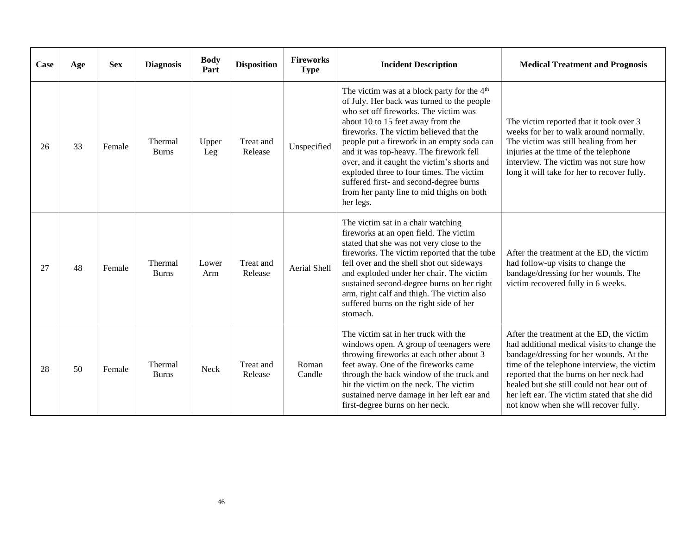| Case | Age | <b>Sex</b> | <b>Diagnosis</b>        | <b>Body</b><br>Part | <b>Disposition</b>   | <b>Fireworks</b><br><b>Type</b> | <b>Incident Description</b>                                                                                                                                                                                                                                                                                                                                                                                                                                                                                             | <b>Medical Treatment and Prognosis</b>                                                                                                                                                                                                                                                                                                                               |
|------|-----|------------|-------------------------|---------------------|----------------------|---------------------------------|-------------------------------------------------------------------------------------------------------------------------------------------------------------------------------------------------------------------------------------------------------------------------------------------------------------------------------------------------------------------------------------------------------------------------------------------------------------------------------------------------------------------------|----------------------------------------------------------------------------------------------------------------------------------------------------------------------------------------------------------------------------------------------------------------------------------------------------------------------------------------------------------------------|
| 26   | 33  | Female     | Thermal<br><b>Burns</b> | Upper<br>Leg        | Treat and<br>Release | Unspecified                     | The victim was at a block party for the 4 <sup>th</sup><br>of July. Her back was turned to the people<br>who set off fireworks. The victim was<br>about 10 to 15 feet away from the<br>fireworks. The victim believed that the<br>people put a firework in an empty soda can<br>and it was top-heavy. The firework fell<br>over, and it caught the victim's shorts and<br>exploded three to four times. The victim<br>suffered first- and second-degree burns<br>from her panty line to mid thighs on both<br>her legs. | The victim reported that it took over 3<br>weeks for her to walk around normally.<br>The victim was still healing from her<br>injuries at the time of the telephone<br>interview. The victim was not sure how<br>long it will take for her to recover fully.                                                                                                         |
| 27   | 48  | Female     | Thermal<br><b>Burns</b> | Lower<br>Arm        | Treat and<br>Release | <b>Aerial Shell</b>             | The victim sat in a chair watching<br>fireworks at an open field. The victim<br>stated that she was not very close to the<br>fireworks. The victim reported that the tube<br>fell over and the shell shot out sideways<br>and exploded under her chair. The victim<br>sustained second-degree burns on her right<br>arm, right calf and thigh. The victim also<br>suffered burns on the right side of her<br>stomach.                                                                                                   | After the treatment at the ED, the victim<br>had follow-up visits to change the<br>bandage/dressing for her wounds. The<br>victim recovered fully in 6 weeks.                                                                                                                                                                                                        |
| 28   | 50  | Female     | Thermal<br><b>Burns</b> | <b>Neck</b>         | Treat and<br>Release | Roman<br>Candle                 | The victim sat in her truck with the<br>windows open. A group of teenagers were<br>throwing fireworks at each other about 3<br>feet away. One of the fireworks came<br>through the back window of the truck and<br>hit the victim on the neck. The victim<br>sustained nerve damage in her left ear and<br>first-degree burns on her neck.                                                                                                                                                                              | After the treatment at the ED, the victim<br>had additional medical visits to change the<br>bandage/dressing for her wounds. At the<br>time of the telephone interview, the victim<br>reported that the burns on her neck had<br>healed but she still could not hear out of<br>her left ear. The victim stated that she did<br>not know when she will recover fully. |